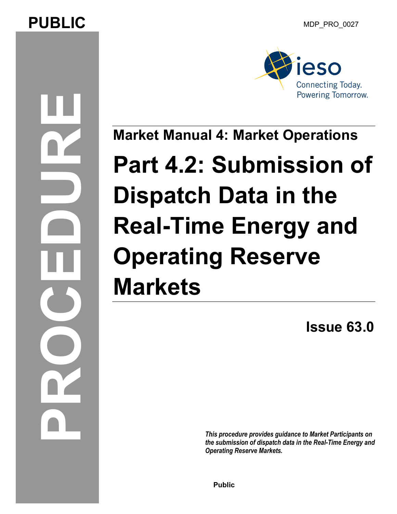# **PUBLIC** MDP PRO 0027

**PROCEDU** 



**Market Manual 4: Market Operations** 

# **Part 4.2: Submission of Dispatch Data in the Real-Time Energy and Operating Reserve Markets**

**Issue 63.0** 

*This procedure provides guidance to Market Participants on the submission of dispatch data in the Real-Time Energy and Operating Reserve Markets.*

**Public**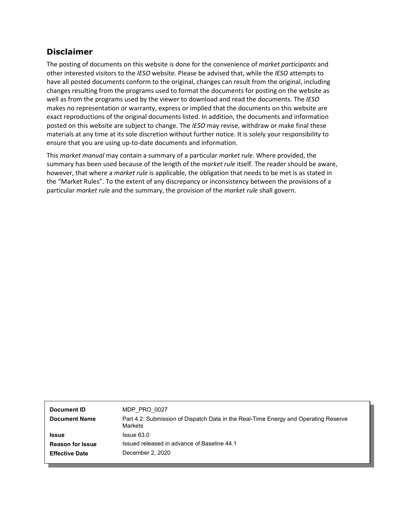### **Disclaimer**

The posting of documents on this website is done for the convenience of *market participants* and other interested visitors to the *IESO* website. Please be advised that, while the *IESO* attempts to have all posted documents conform to the original, changes can result from the original, including changes resulting from the programs used to format the documents for posting on the website as well as from the programs used by the viewer to download and read the documents. The *IESO*  makes no representation or warranty, express or implied that the documents on this website are exact reproductions of the original documents listed. In addition, the documents and information posted on this website are subject to change. The *IESO* may revise, withdraw or make final these materials at any time at its sole discretion without further notice. It is solely your responsibility to ensure that you are using up-to-date documents and information.

This *market manual* may contain a summary of a particular *market rule*. Where provided, the summary has been used because of the length of the *market rule* itself. The reader should be aware, however, that where a *market rule* is applicable, the obligation that needs to be met is as stated in the "Market Rules". To the extent of any discrepancy or inconsistency between the provisions of a particular *market rule* and the summary, the provision of the *market rule* shall govern.

| Document ID             | MDP PRO 0027                                                                                   |
|-------------------------|------------------------------------------------------------------------------------------------|
| <b>Document Name</b>    | Part 4.2: Submission of Dispatch Data in the Real-Time Energy and Operating Reserve<br>Markets |
| <b>Issue</b>            | $l$ ssue $63.0$                                                                                |
| <b>Reason for Issue</b> | Issued released in advance of Baseline 44.1                                                    |
| <b>Effective Date</b>   | December 2, 2020                                                                               |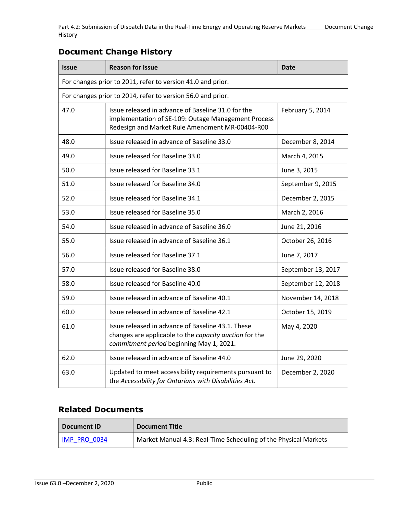| <b>Issue</b>                                                | <b>Reason for Issue</b>                                                                                                                                      | <b>Date</b>        |  |
|-------------------------------------------------------------|--------------------------------------------------------------------------------------------------------------------------------------------------------------|--------------------|--|
| For changes prior to 2011, refer to version 41.0 and prior. |                                                                                                                                                              |                    |  |
|                                                             | For changes prior to 2014, refer to version 56.0 and prior.                                                                                                  |                    |  |
| 47.0                                                        | Issue released in advance of Baseline 31.0 for the<br>implementation of SE-109: Outage Management Process<br>Redesign and Market Rule Amendment MR-00404-R00 | February 5, 2014   |  |
| 48.0                                                        | Issue released in advance of Baseline 33.0                                                                                                                   | December 8, 2014   |  |
| 49.0                                                        | Issue released for Baseline 33.0                                                                                                                             | March 4, 2015      |  |
| 50.0                                                        | Issue released for Baseline 33.1                                                                                                                             | June 3, 2015       |  |
| 51.0                                                        | Issue released for Baseline 34.0                                                                                                                             | September 9, 2015  |  |
| 52.0                                                        | Issue released for Baseline 34.1                                                                                                                             | December 2, 2015   |  |
| 53.0                                                        | Issue released for Baseline 35.0                                                                                                                             | March 2, 2016      |  |
| 54.0                                                        | Issue released in advance of Baseline 36.0                                                                                                                   | June 21, 2016      |  |
| 55.0                                                        | Issue released in advance of Baseline 36.1                                                                                                                   | October 26, 2016   |  |
| 56.0                                                        | Issue released for Baseline 37.1                                                                                                                             | June 7, 2017       |  |
| 57.0                                                        | Issue released for Baseline 38.0                                                                                                                             | September 13, 2017 |  |
| 58.0                                                        | Issue released for Baseline 40.0                                                                                                                             | September 12, 2018 |  |
| 59.0                                                        | Issue released in advance of Baseline 40.1                                                                                                                   | November 14, 2018  |  |
| 60.0                                                        | Issue released in advance of Baseline 42.1                                                                                                                   | October 15, 2019   |  |
| 61.0                                                        | Issue released in advance of Baseline 43.1. These<br>changes are applicable to the capacity auction for the<br>commitment period beginning May 1, 2021.      | May 4, 2020        |  |
| 62.0                                                        | Issue released in advance of Baseline 44.0                                                                                                                   | June 29, 2020      |  |
| 63.0                                                        | Updated to meet accessibility requirements pursuant to<br>the Accessibility for Ontarians with Disabilities Act.                                             | December 2, 2020   |  |

### **Document Change History**

### **Related Documents**

| Document ID         | <b>Document Title</b>                                           |
|---------------------|-----------------------------------------------------------------|
| <b>IMP PRO 0034</b> | Market Manual 4.3: Real-Time Scheduling of the Physical Markets |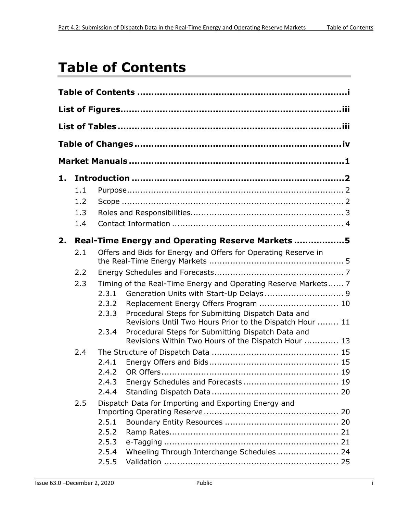# <span id="page-3-0"></span>**Table of Contents**

| 1. |     |                                  |                                                                                                                                                                                                                                                                                                                                      |  |
|----|-----|----------------------------------|--------------------------------------------------------------------------------------------------------------------------------------------------------------------------------------------------------------------------------------------------------------------------------------------------------------------------------------|--|
|    | 1.1 |                                  |                                                                                                                                                                                                                                                                                                                                      |  |
|    | 1.2 |                                  |                                                                                                                                                                                                                                                                                                                                      |  |
|    | 1.3 |                                  |                                                                                                                                                                                                                                                                                                                                      |  |
|    | 1.4 |                                  |                                                                                                                                                                                                                                                                                                                                      |  |
| 2. |     |                                  | Real-Time Energy and Operating Reserve Markets 5                                                                                                                                                                                                                                                                                     |  |
|    | 2.1 |                                  | Offers and Bids for Energy and Offers for Operating Reserve in                                                                                                                                                                                                                                                                       |  |
|    | 2.2 |                                  |                                                                                                                                                                                                                                                                                                                                      |  |
|    | 2.3 | 2.3.1<br>2.3.2<br>2.3.3<br>2.3.4 | Timing of the Real-Time Energy and Operating Reserve Markets 7<br>Replacement Energy Offers Program  10<br>Procedural Steps for Submitting Dispatch Data and<br>Revisions Until Two Hours Prior to the Dispatch Hour  11<br>Procedural Steps for Submitting Dispatch Data and<br>Revisions Within Two Hours of the Dispatch Hour  13 |  |
|    | 2.4 |                                  |                                                                                                                                                                                                                                                                                                                                      |  |
|    |     | 2.4.1<br>2.4.2<br>2.4.3<br>2.4.4 |                                                                                                                                                                                                                                                                                                                                      |  |
|    | 2.5 |                                  | Dispatch Data for Importing and Exporting Energy and                                                                                                                                                                                                                                                                                 |  |
|    |     | 2.5.1                            |                                                                                                                                                                                                                                                                                                                                      |  |
|    |     | 2.5.2                            |                                                                                                                                                                                                                                                                                                                                      |  |
|    |     | 2.5.3                            |                                                                                                                                                                                                                                                                                                                                      |  |
|    |     | 2.5.4                            | Wheeling Through Interchange Schedules  24                                                                                                                                                                                                                                                                                           |  |
|    |     | 2.5.5                            |                                                                                                                                                                                                                                                                                                                                      |  |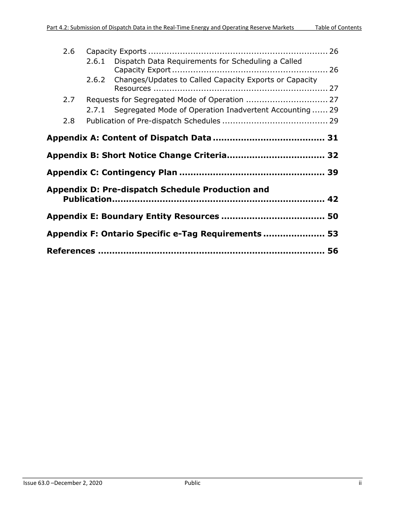| 2.6                                                 |                                             |                                                               |  |  |  |
|-----------------------------------------------------|---------------------------------------------|---------------------------------------------------------------|--|--|--|
|                                                     |                                             | 2.6.1 Dispatch Data Requirements for Scheduling a Called      |  |  |  |
|                                                     | 2.6.2                                       | Changes/Updates to Called Capacity Exports or Capacity        |  |  |  |
| 2.7                                                 |                                             | Requests for Segregated Mode of Operation  27                 |  |  |  |
| 2.8                                                 |                                             | 2.7.1 Segregated Mode of Operation Inadvertent Accounting  29 |  |  |  |
|                                                     |                                             |                                                               |  |  |  |
|                                                     | Appendix B: Short Notice Change Criteria 32 |                                                               |  |  |  |
|                                                     |                                             |                                                               |  |  |  |
|                                                     |                                             | <b>Appendix D: Pre-dispatch Schedule Production and</b>       |  |  |  |
|                                                     |                                             |                                                               |  |  |  |
| Appendix F: Ontario Specific e-Tag Requirements  53 |                                             |                                                               |  |  |  |
|                                                     |                                             |                                                               |  |  |  |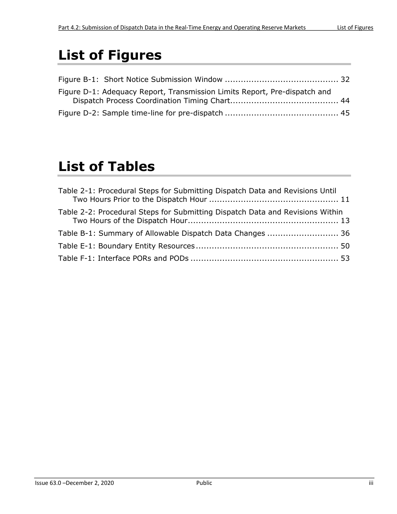# <span id="page-5-0"></span>**List of Figures**

| Figure D-1: Adequacy Report, Transmission Limits Report, Pre-dispatch and |  |
|---------------------------------------------------------------------------|--|
|                                                                           |  |
|                                                                           |  |

# <span id="page-5-1"></span>**List of Tables**

| Table 2-1: Procedural Steps for Submitting Dispatch Data and Revisions Until  |  |
|-------------------------------------------------------------------------------|--|
| Table 2-2: Procedural Steps for Submitting Dispatch Data and Revisions Within |  |
| Table B-1: Summary of Allowable Dispatch Data Changes  36                     |  |
|                                                                               |  |
|                                                                               |  |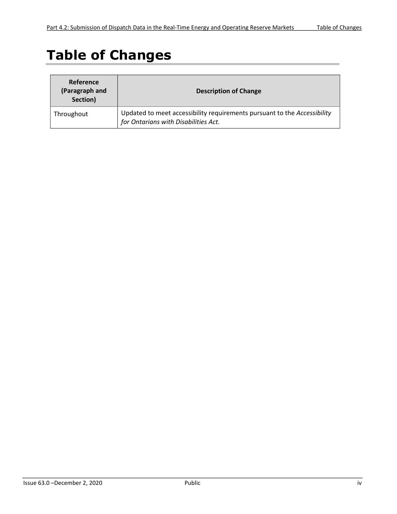# <span id="page-6-0"></span>**Table of Changes**

| Reference<br>(Paragraph and<br>Section) | <b>Description of Change</b>                                                                                     |
|-----------------------------------------|------------------------------------------------------------------------------------------------------------------|
| Throughout                              | Updated to meet accessibility requirements pursuant to the Accessibility<br>for Ontarians with Disabilities Act. |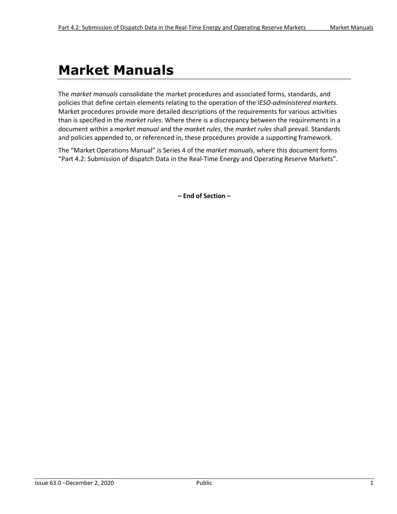# <span id="page-7-0"></span>**Market Manuals**

The *market manuals* consolidate the market procedures and associated forms, standards, and policies that define certain elements relating to the operation of the *IESO*-*administered markets*. Market procedures provide more detailed descriptions of the requirements for various activities than is specified in the *market rules*. Where there is a discrepancy between the requirements in a document within a *market manual* and the *market rules*, the *market rules* shall prevail. Standards and policies appended to, or referenced in, these procedures provide a supporting framework.

The "Market Operations Manual" is Series 4 of the *market manuals*, where this document forms "Part 4.2: Submission of dispatch Data in the Real-Time Energy and Operating Reserve Markets".

**– End of Section –**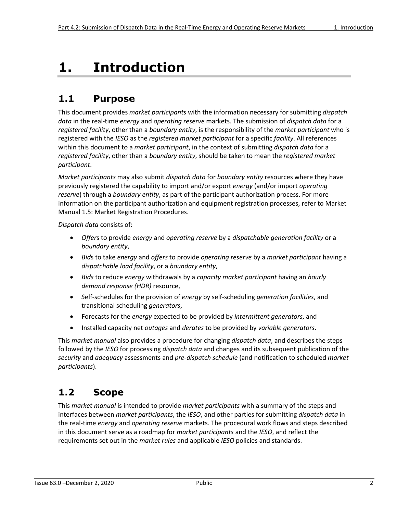# <span id="page-8-0"></span>**1. Introduction**

# <span id="page-8-1"></span>**1.1 Purpose**

This document provides *market participants* with the information necessary for submitting *dispatch data* in the real-time *energy* and *operating reserve* markets. The submission of *dispatch data* for a *registered facility*, other than a *boundary entity*, is the responsibility of the *market participant* who is registered with the *IESO* as the *registered market participant* for a specific *facility*. All references within this document to a *market participant*, in the context of submitting *dispatch data* for a *registered facility*, other than a *boundary entity*, should be taken to mean the *registered market participant*.

*Market participants* may also submit *dispatch data* for *boundary entity* resources where they have previously registered the capability to import and/or export *energy* (and/or import *operating reserve*) through a *boundary entity*, as part of the participant authorization process. For more information on the participant authorization and equipment registration processes, refer to Market Manual 1.5: Market Registration Procedures.

*Dispatch data* consists of:

- *Offer*s to provide *energy* and *operating reserve* by a *dispatchable generation facility* or a *boundary entity*,
- *Bid*s to take *energy* and *offers* to provide *operating reserve* by a *market participant* having a *dispatchable load facility*, or a *boundary entity*,
- *Bids* to reduce *energy* withdrawals by a *capacity market participant* having an *hourly demand response (HDR)* resource,
- *S*elf-schedules for the provision of *energy* by self-scheduling *generation facilities*, and transitional scheduling *generators*,
- Forecasts for the *energy* expected to be provided by *intermittent generators*, and
- Installed capacity net *outages* and *derates* to be provided by *variable generators*.

This *market manual* also provides a procedure for changing *dispatch data*, and describes the steps followed by the *IESO* for processing *dispatch data* and changes and its subsequent publication of the *security* and *adequacy* assessments and *pre-dispatch schedule* (and notification to scheduled *market participants*).

# <span id="page-8-2"></span>**1.2 Scope**

This *market manual* is intended to provide *market participants* with a summary of the steps and interfaces between *market participants*, the *IESO*, and other parties for submitting *dispatch data* in the real-time *energy* and *operating reserve* markets. The procedural work flows and steps described in this document serve as a roadmap for *market participants* and the *IESO*, and reflect the requirements set out in the *market rules* and applicable *IESO* policies and standards.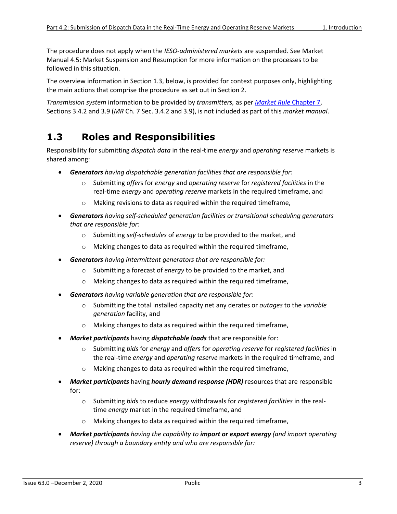The procedure does not apply when the *IESO*-*administered markets* are suspended. See Market Manual 4.5: Market Suspension and Resumption for more information on the processes to be followed in this situation.

The overview information in Section 1.3, below, is provided for context purposes only, highlighting the main actions that comprise the procedure as set out in Section 2.

*Transmission system* information to be provided by *transmitters,* as per *[Market Rule](http://www.ieso.ca/-/media/files/ieso/document-library/market-rules-and-manuals-library/market-rules/mr-chapter7.pdf)* Chapter 7, Sections 3.4.2 and 3.9 (*MR* Ch. 7 Sec. 3.4.2 and 3.9), is not included as part of this *market manual*.

### <span id="page-9-0"></span>**1.3 Roles and Responsibilities**

Responsibility for submitting *dispatch data* in the real-time *energy* and *operating reserve* markets is shared among:

- *Generators having dispatchable generation facilities that are responsible for:*
	- o Submitting *offer*s for *energy* and *operating reserve* for *registered facilities* in the real-time *energy* and *operating reserve* markets in the required timeframe, and
	- o Making revisions to data as required within the required timeframe,
- *Generators having self-scheduled generation facilities or transitional scheduling generators that are responsible for:*
	- o Submitting *self-schedules* of *energy* to be provided to the market, and
	- o Making changes to data as required within the required timeframe,
- *Generators having intermittent generators that are responsible for:*
	- o Submitting a forecast of *energy* to be provided to the market, and
	- o Making changes to data as required within the required timeframe,
- *Generators having variable generation that are responsible for:*
	- o Submitting the total installed capacity net any derates or *outages* to the *variable generation* facility, and
	- o Making changes to data as required within the required timeframe,
- *Market participants* having *dispatchable loads* that are responsible for:
	- o Submitting *bids* for *energy* and *offer*s for *operating reserve* for *registered facilities* in the real-time *energy* and *operating reserve* markets in the required timeframe, and
	- o Making changes to data as required within the required timeframe,
- *Market participants* having *hourly demand response (HDR)* resources that are responsible for:
	- o Submitting *bids* to reduce *energy* withdrawals for *registered facilities* in the realtime *energy* market in the required timeframe, and
	- o Making changes to data as required within the required timeframe,
- *Market participants having the capability to import or export energy (and import operating reserve) through a boundary entity and who are responsible for:*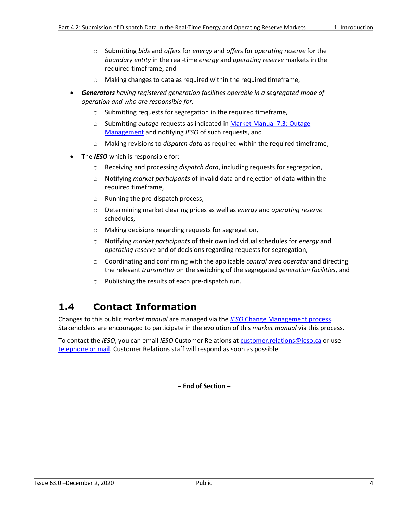- o Submitting *bids* and *offer*s for *energy* and *offer*s for *operating reserve* for the *boundary entity* in the real-time *energy* and *operating reserve* markets in the required timeframe, and
- Making changes to data as required within the required timeframe,
- *Generators having registered generation facilities operable in a segregated mode of operation and who are responsible for:*
	- o Submitting requests for segregation in the required timeframe,
	- o Submitting *outage* requests as indicated in [Market Manual 7.3: Outage](http://www.ieso.ca/-/media/files/ieso/document-library/market-rules-and-manuals-library/market-manuals/system-operations/so-outagemanagement.pdf) [Management](http://www.ieso.ca/-/media/files/ieso/document-library/market-rules-and-manuals-library/market-manuals/system-operations/so-outagemanagement.pdf) and notifying *IESO* of such requests, and
	- o Making revisions to *dispatch data* as required within the required timeframe,
- The *IESO* which is responsible for:
	- o Receiving and processing *dispatch data*, including requests for segregation,
	- o Notifying *market participants* of invalid data and rejection of data within the required timeframe,
	- o Running the pre-dispatch process,
	- o Determining market clearing prices as well as *energy* and *operating reserve* schedules,
	- o Making decisions regarding requests for segregation,
	- o Notifying *market participants* of their own individual schedules for *energy* and *operating reserve* and of decisions regarding requests for segregation,
	- o Coordinating and confirming with the applicable *control area operator* and directing the relevant *transmitter* on the switching of the segregated *generation facilities*, and
	- o Publishing the results of each pre-dispatch run.

### <span id="page-10-0"></span>**1.4 Contact Information**

Changes to this public *market manual* are managed via the *IESO* [Change Management process.](http://www.ieso.ca/sector-participants/change-management/overview) Stakeholders are encouraged to participate in the evolution of this *market manual* via this process.

To contact the *IESO*, you can email *IESO* Customer Relations at [customer.relations@ieso.ca](mailto:customer.relations@ieso.ca) or use [telephone or mail.](http://www.ieso.ca/corporate-ieso/contact) Customer Relations staff will respond as soon as possible.

**– End of Section –**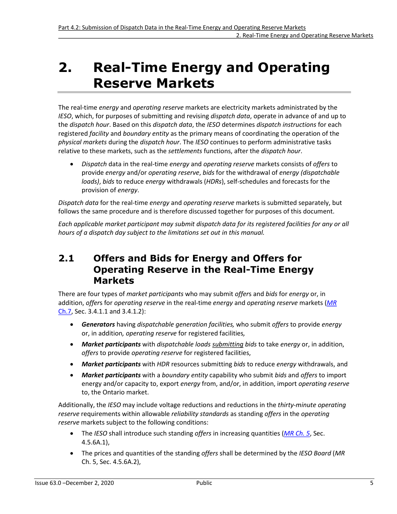# <span id="page-11-0"></span>**2. Real-Time Energy and Operating Reserve Markets**

The real-time *energy* and *operating reserve* markets are electricity markets administrated by the *IESO*, which, for purposes of submitting and revising *dispatch data*, operate in advance of and up to the *dispatch hour*. Based on this *dispatch data*, the *IESO* determines *dispatch instructions* for each registered *facility* and *boundary entity* as the primary means of coordinating the operation of the *physical markets* during the *dispatch hour*. The *IESO* continues to perform administrative tasks relative to these markets, such as the *settlements* functions, after the *dispatch hour*.

• *Dispatch* data in the real-time *energy* and *operating reserve* markets consists of *offers* to provide *energy* and/or *operating reserve*, *bids* for the withdrawal of *energy (dispatchable loads)*, *bids* to reduce *energy* withdrawals (*HDRs*), self-schedules and forecasts for the provision of *energy*.

*Dispatch data* for the real-time *energy* and *operating reserve* markets is submitted separately, but follows the same procedure and is therefore discussed together for purposes of this document.

*Each applicable market participant may submit dispatch data for its registered facilities for any or all hours of a dispatch day subject to the limitations set out in this manual.*

### <span id="page-11-1"></span>**2.1 Offers and Bids for Energy and Offers for Operating Reserve in the Real-Time Energy Markets**

There are four types of *market participants* who may submit *offer*s and *bids* for *energy* or, in addition, *offer*s for *operating reserve* in the real-time *energy* and *operating reserve* markets (*[MR](http://www.ieso.ca/-/media/files/ieso/document-library/market-rules-and-manuals-library/market-rules/mr-chapter7.pdf)* [Ch.7,](http://www.ieso.ca/-/media/files/ieso/document-library/market-rules-and-manuals-library/market-rules/mr-chapter7.pdf) Sec. 3.4.1.1 and 3.4.1.2):

- *Generators* having *dispatchable generation facilities,* who submit *offers* to provide *energy* or, in addition*, operating reserve* for registered facilities*,*
- *Market participants* with *dispatchable loads submitting bids* to take *energy* or, in addition, *offers* to provide *operating reserve* for registered facilities,
- *Market participants* with *HDR* resources submitting *bids* to reduce *energy* withdrawals, and
- *Market participants* with a *boundary entity* capability who submit *bids* and *offers* to import energy and/or capacity to, export *energy* from, and/or, in addition, import *operating reserve* to, the Ontario market.

Additionally, the *IESO* may include voltage reductions and reductions in the *thirty-minute operating reserve* requirements within allowable *reliability standards* as standing *offers* in the *operating reserve* markets subject to the following conditions:

- The *IESO* shall introduce such standing *offers* in increasing quantities (*[MR Ch. 5](http://www.ieso.ca/-/media/files/ieso/document-library/market-rules-and-manuals-library/market-rules/mr-chapter5.pdf)*, Sec. 4.5.6A.1),
- The prices and quantities of the standing *offers* shall be determined by the *IESO Board* (*MR* Ch. 5, Sec. 4.5.6A.2),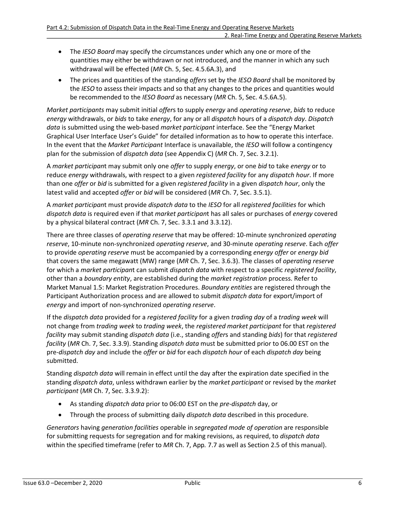- The *IESO Board* may specify the circumstances under which any one or more of the quantities may either be withdrawn or not introduced, and the manner in which any such withdrawal will be effected (*MR* Ch. 5, Sec. 4.5.6A.3), and
- The prices and quantities of the standing *offers* set by the *IESO Board* shall be monitored by the *IESO* to assess their impacts and so that any changes to the prices and quantities would be recommended to the *IESO Board* as necessary (*MR* Ch. 5, Sec. 4.5.6A.5).

*Market participants* may submit initial *offer*s to supply *energy* and *operating reserve*, *bids* to reduce *energy* withdrawals, or *bids* to take *energy*, for any or all *dispatch* hours of a *dispatch day*. *Dispatch data* is submitted using the web-based *market participant* interface. See the "Energy Market Graphical User Interface User's Guide" for detailed information as to how to operate this interface. In the event that the *Market Participant* Interface is unavailable, the *IESO* will follow a contingency plan for the submission of *dispatch data* (see Appendix C) (*MR* Ch. 7, Sec. 3.2.1).

A *market participan*t may submit only one *offer* to supply *energy*, or one *bid* to take *energy* or to reduce *energy* withdrawals, with respect to a given *registered facility* for any *dispatch hour*. If more than one *offer* or *bid* is submitted for a given *registered facility* in a given *dispatch hour*, only the latest valid and accepted *offer* or *bid* will be considered (*MR* Ch. 7, Sec. 3.5.1).

A *market participan*t must provide *dispatch data* to the *IESO* for all *registered facilities* for which *dispatch data* is required even if that *market participan*t has all sales or purchases of *energy* covered by a physical bilateral contract (*MR* Ch. 7, Sec. 3.3.1 and 3.3.12).

There are three classes of *operating reserve* that may be offered: 10-minute synchronized *operating reserve*, 10-minute non-synchronized *operating reserve*, and 30-minute *operating reserve*. Each *offer* to provide *operating reserve* must be accompanied by a corresponding *energy offer* or *energy bid* that covers the same megawatt (MW) range (*MR* Ch. 7, Sec. 3.6.3). The classes of *operating reserve* for which a *market participan*t can submit *dispatch data* with respect to a specific *registered facility*, other than a *boundary entity*, are established during the *market registration* process. Refer to Market Manual 1.5: Market Registration Procedures. *Boundary entities* are registered through the Participant Authorization process and are allowed to submit *dispatch data* for export/import of *energy* and import of non-synchronized *operating reserve*.

If the *dispatch data* provided for a *registered facility* for a given *trading day* of a *trading week* will not change from *trading week* to *trading week*, the *registered market participant* for that *registered facility* may submit standing *dispatch data* (i.e., standing *offer*s and standing *bids*) for that *registered facility* (*MR* Ch. 7, Sec. 3.3.9). Standing *dispatch data* must be submitted prior to 06.00 EST on the pre-*dispatch day* and include the *offer* or *bid* for each *dispatch hour* of each *dispatch day* being submitted.

Standing *dispatch data* will remain in effect until the day after the expiration date specified in the standing *dispatch data*, unless withdrawn earlier by the *market participant* or revised by the *market participant* (*MR* Ch. 7, Sec. 3.3.9.2):

- As standing *dispatch data* prior to 06:00 EST on the *pre-dispatch* day, or
- Through the process of submitting daily *dispatch data* described in this procedure.

*Generators* having *generation facilities* operable in *segregated mode of operation* are responsible for submitting requests for segregation and for making revisions, as required, to *dispatch data* within the specified timeframe (refer to *MR* Ch. 7, App*.* 7.7 as well as Section 2.5 of this manual).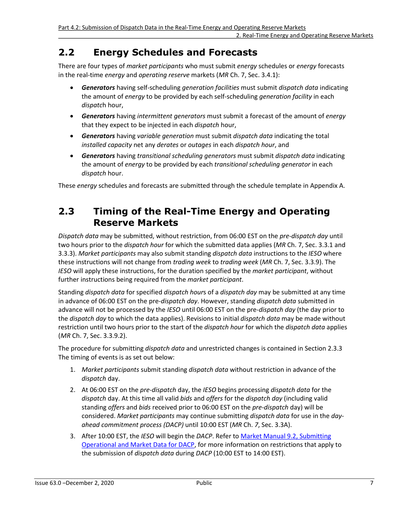# <span id="page-13-0"></span>**2.2 Energy Schedules and Forecasts**

There are four types of *market participants* who must submit *energy* schedules or *energy* forecasts in the real-time *energy* and *operating reserve* markets (*MR* Ch. 7, Sec. 3.4.1):

- *Generators* having self-scheduling *generation facilities* must submit *dispatch data* indicating the amount of *energy* to be provided by each self-scheduling *generation facility* in each *dispatc*h hour,
- *Generators* having *intermittent generators* must submit a forecast of the amount of *energy* that they expect to be injected in each *dispatch* hour,
- *Generators* having *variable generation* must submit *dispatch data* indicating the total *installed capacity* net any *derates* or *outages* in each *dispatch hour*, and
- *Generators* having *transitional scheduling generators* must submit *dispatch data* indicating the amount of *energy* to be provided by each *transitional scheduling generator* in each *dispatch* hour.

These *energy* schedules and forecasts are submitted through the schedule template in Appendix A.

### <span id="page-13-1"></span>**2.3 Timing of the Real-Time Energy and Operating Reserve Markets**

*Dispatch data* may be submitted, without restriction, from 06:00 EST on the *pre-dispatch day* until two hours prior to the *dispatch hour* for which the submitted data applies (*MR* Ch. 7, Sec. 3.3.1 and 3.3.3). *Market participants* may also submit standing *dispatch data* instructions to the *IESO* where these instructions will not change from *trading week* to *trading week* (*MR* Ch. 7, Sec. 3.3.9). The *IESO* will apply these instructions, for the duration specified by the *market participant*, without further instructions being required from the *market participant*.

Standing *dispatch data* for specified *dispatch hour*s of a *dispatch day* may be submitted at any time in advance of 06:00 EST on the pre-*dispatch day*. However, standing *dispatch data* submitted in advance will not be processed by the *IESO* until 06:00 EST on the pre-*dispatch day* (the day prior to the *dispatch day* to which the data applies). Revisions to initial *dispatch data* may be made without restriction until two hours prior to the start of the *dispatch hour* for which the *dispatch data* applies (*MR* Ch. 7, Sec. 3.3.9.2).

The procedure for submitting *dispatch data* and unrestricted changes is contained in Section 2.3.3 The timing of events is as set out below:

- 1. *Market participants* submit standing *dispatch data* without restriction in advance of the *dispatch* day.
- 2. At 06:00 EST on the *pre-dispatch* day, the *IESO* begins processing *dispatch data* for the *dispatch* day. At this time all valid *bids* and *offers* for the *dispatch day* (including valid standing *offers* and *bids* received prior to 06:00 EST on the *pre-dispatch* day) will be considered. *Market participants* may continue submitting *dispatch data* for use in the *dayahead commitment process (DACP)* until 10:00 EST (*MR* Ch. *7*, Sec. 3.3A).
- 3. After 10:00 EST, the *IESO* will begin the *DACP*. Refer to [Market Manual 9.2, Submitting](http://www.ieso.ca/-/media/files/ieso/document-library/market-rules-and-manuals-library/market-manuals/day-ahead-commitment/submittingoperationalandmarketdata.pdf) [Operational and Market Data for DACP,](http://www.ieso.ca/-/media/files/ieso/document-library/market-rules-and-manuals-library/market-manuals/day-ahead-commitment/submittingoperationalandmarketdata.pdf) for more information on restrictions that apply to the submission of *dispatch data* during *DACP* (10:00 EST to 14:00 EST).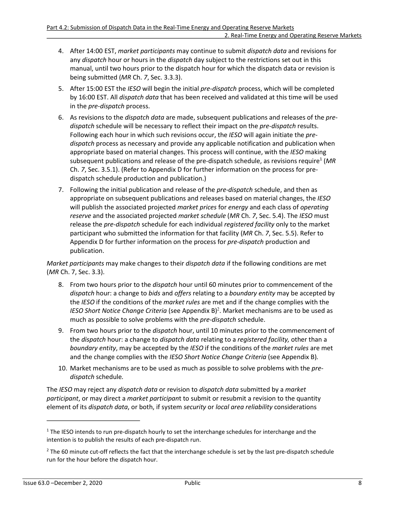- 4. After 14:00 EST, *market participants* may continue to submit *dispatch data* and revisions for any *dispatch* hour or hours in the *dispatch* day subject to the restrictions set out in this manual, until two hours prior to the dispatch hour for which the dispatch data or revision is being submitted (*MR* Ch. *7*, Sec. 3.3.3).
- 5. After 15:00 EST the *IESO* will begin the initial *pre-dispatch* process, which will be completed by 16:00 EST. All *dispatch data* that has been received and validated at this time will be used in the *pre-dispatch* process.
- 6. As revisions to the *dispatch data* are made, subsequent publications and releases of the *predispatch* schedule will be necessary to reflect their impact on the *pre-dispatch* results. Following each hour in which such revisions occur, the *IESO* will again initiate the *predispatch* process as necessary and provide any applicable notification and publication when appropriate based on material changes. This process will continue, with the *IESO* making subsequent publications and release of the pre-dispatch schedule, as revisions require<sup>[1](#page-14-0)</sup> (MR Ch. *7*, Sec. 3.5.1). (Refer to Appendix D for further information on the process for predispatch schedule production and publication.)
- <span id="page-14-2"></span>7. Following the initial publication and release of the *pre-dispatch* schedule, and then as appropriate on subsequent publications and releases based on material changes, the *IESO* will publish the associated projected *market prices* for *energy* and each class of *operating reserve* and the associated projected *market schedule* (*MR* Ch. *7*, Sec. 5.4). The *IESO* must release the *pre-dispatch* schedule for each individual *registered facility* only to the market participant who submitted the information for that facility (*MR* Ch. *7*, Sec. 5.5). Refer to Appendix D for further information on the process for *pre-dispatch* production and publication.

*Market participants* may make changes to their *dispatch data* if the following conditions are met (*MR* Ch. 7, Sec. 3.3).

- 8. From two hours prior to the *dispatch* hour until 60 minutes prior to commencement of the *dispatch* hour: a change to *bids* and *offers* relating to a *boundary entity* may be accepted by the *IESO* if the conditions of the *market rules* are met and if the change complies with the IESO Short Notice Change Criteria (see Appendix B)<sup>[2](#page-14-1)</sup>. Market mechanisms are to be used as much as possible to solve problems with the *pre-dispatch* schedule.
- <span id="page-14-3"></span>9. From two hours prior to the *dispatch* hour, until 10 minutes prior to the commencement of the *dispatch* hour: a change to *dispatch data* relating to a *registered facility,* other than a *boundary entity*, may be accepted by the *IESO* if the conditions of the *market rules* are met and the change complies with the *IESO Short Notice Change Criteria* (see Appendix B)*.*
- 10. Market mechanisms are to be used as much as possible to solve problems with the *predispatch* schedule*.*

The *IESO* may reject any *dispatch data* or revision to *dispatch data* submitted by a *market participant*, or may direct a *market participan*t to submit or resubmit a revision to the quantity element of its *dispatch data*, or both, if system *security* or *local area reliability* considerations

<span id="page-14-0"></span><sup>&</sup>lt;sup>[1](#page-14-2)</sup> The IESO intends to run pre-dispatch hourly to set the interchange schedules for interchange and the intention is to publish the results of each pre-dispatch run.

<span id="page-14-1"></span><sup>&</sup>lt;sup>[2](#page-14-3)</sup> The 60 minute cut-off reflects the fact that the interchange schedule is set by the last pre-dispatch schedule run for the hour before the dispatch hour.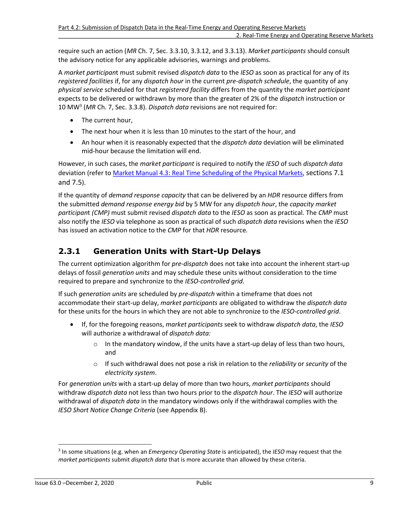require such an action (*MR* Ch. 7, Sec. 3.3.10, 3.3.12, and 3.3.13). *Market participants* should consult the advisory notice for any applicable advisories, warnings and problems.

A *market participan*t must submit revised *dispatch data* to the *IESO* as soon as practical for any of its *registered facilities* if, for any *dispatch hour* in the current *pre-dispatch schedule*, the quantity of any *physical service* scheduled for that *registered facility* differs from the quantity the *market participant* expects to be delivered or withdrawn by more than the greater of 2% of the *dispatch* instruction or 10 MW[3](#page-15-1) (*MR* Ch. 7, Sec. 3.3.8). *Dispatch data* revisions are not required for:

- <span id="page-15-2"></span>• The current hour,
- The next hour when it is less than 10 minutes to the start of the hour, and
- An hour when it is reasonably expected that the *dispatch data* deviation will be eliminated mid-hour because the limitation will end.

However, in such cases, the *market participant* is required to notify the *IESO* of such *dispatch data* deviation (refer to [Market Manual 4.3: Real Time Scheduling of the Physical Markets,](http://www.ieso.ca/-/media/files/ieso/document-library/market-rules-and-manuals-library/market-manuals/market-operations/mo-realtimescheduling.pdf) sections 7.1 and 7.5).

If the quantity of *demand response capacity* that can be delivered by an *HDR* resource differs from the submitted *demand response energy bid* by 5 MW for any *dispatch hour*, the *capacity market participan*t *(CMP)* must submit revised *dispatch data* to the *IESO* as soon as practical. The *CMP* must also notify the *IESO* via telephone as soon as practical of such *dispatch data* revisions when the *IESO* has issued an activation notice to the *CMP* for that *HDR* resource*.* 

### <span id="page-15-0"></span>**2.3.1 Generation Units with Start-Up Delays**

The current optimization algorithm for *pre-dispatch* does not take into account the inherent start-up delays of fossil *generation units* and may schedule these units without consideration to the time required to prepare and synchronize to the *IESO-controlled grid*.

If such *generation units* are scheduled by *pre-dispatch* within a timeframe that does not accommodate their start-up delay, *market participants* are obligated to withdraw the *dispatch data* for these units for the hours in which they are not able to synchronize to the *IESO-controlled grid*.

- If, for the foregoing reasons, *market participants* seek to withdraw *dispatch data*, the *IESO* will authorize a withdrawal of *dispatch data:*
	- $\circ$  In the mandatory window, if the units have a start-up delay of less than two hours, and
	- o If such withdrawal does not pose a risk in relation to the *reliability* or *security* of the *electricity system*.

For *generation units* with a start-up delay of more than two hours, *market participants* should withdraw *dispatch data* not less than two hours prior to the *dispatch hour*. The *IESO* will authorize withdrawal of *dispatch data* in the mandatory windows only if the withdrawal complies with the *IESO Short Notice Change Criteria* (see Appendix B).

<span id="page-15-1"></span>[<sup>3</sup>](#page-15-2) In some situations (e.g. when an *Emergency Operating State* is anticipated), the *IESO* may request that the *market participants* submit *dispatch data* that is more accurate than allowed by these criteria.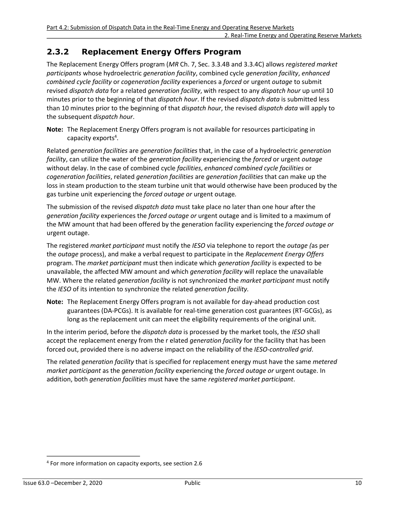### <span id="page-16-0"></span>**2.3.2 Replacement Energy Offers Program**

The Replacement Energy Offers program (*MR* Ch. 7, Sec. 3.3.4B and 3.3.4C) allows *registered market participants* whose hydroelectric *generation facility*, combined cycle *generation facility*, *enhanced combined cycle facility* or *cogeneration facility* experiences a *forced* or urgent *outage* to submit revised *dispatch data* for a related *generation facility*, with respect to any *dispatch hour* up until 10 minutes prior to the beginning of that *dispatch hour*. If the revised *dispatch data* is submitted less than 10 minutes prior to the beginning of that *dispatch hour*, the revised *dispatch data* will apply to the subsequent *dispatch hour*.

<span id="page-16-2"></span>**Note:** The Replacement Energy Offers program is not available for resources participating in capacity exports<sup>[4](#page-16-1)</sup>.

Related *generation facilities* are *generation facilities* that, in the case of a hydroelectric *generation facility*, can utilize the water of the *generation facility* experiencing the *forced* or urgent *outage* without delay. In the case of combined cycle *facilities*, *enhanced combined cycle facilities* or *cogeneration facilities*, related *generation facilities* are *generation facilities* that can make up the loss in steam production to the steam turbine unit that would otherwise have been produced by the gas turbine unit experiencing the *forced outage or* urgent outage*.* 

The submission of the revised *dispatch data* must take place no later than one hour after the *generation facility* experiences the *forced outage or* urgent outage and is limited to a maximum of the MW amount that had been offered by the generation facility experiencing the *forced outage or*  urgent outage.

The registered *market participant* must notify the *IESO* via telephone to report the *outage (*as per the *outage* process), and make a verbal request to participate in the *Replacement Energy Offers*  program. The *market participant* must then indicate which *generation facility* is expected to be unavailable, the affected MW amount and which *generation facility* will replace the unavailable MW. Where the related *generation facility* is not synchronized the *market participant* must notify the *IESO* of its intention to synchronize the related *generation facility.* 

**Note:** The Replacement Energy Offers program is not available for day-ahead production cost guarantees (DA-PCGs). It is available for real-time generation cost guarantees (RT-GCGs), as long as the replacement unit can meet the eligibility requirements of the original unit.

In the interim period, before the *dispatch data* is processed by the market tools, the *IESO* shall accept the replacement energy from the r elated *generation facility* for the facility that has been forced out, provided there is no adverse impact on the reliability of the *IESO-controlled grid*.

The related *generation facility* that is specified for replacement energy must have the same *metered market participant* as the *generation facility* experiencing the *forced outage or* urgent outage. In addition, both *generation facilities* must have the same *registered market participant*.

<span id="page-16-1"></span>[<sup>4</sup>](#page-16-2) For more information on capacity exports, see section 2.6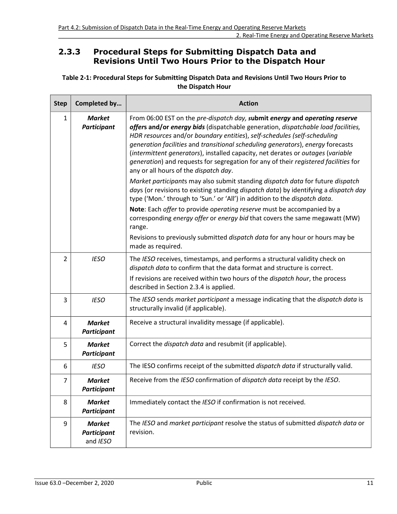### <span id="page-17-0"></span>**2.3.3 Procedural Steps for Submitting Dispatch Data and Revisions Until Two Hours Prior to the Dispatch Hour**

#### <span id="page-17-1"></span>**Table 2-1: Procedural Steps for Submitting Dispatch Data and Revisions Until Two Hours Prior to the Dispatch Hour**

| <b>Step</b>    | Completed by                                    | <b>Action</b>                                                                                                                                                                                                                                                                                                                                                                                                                                                                                                                                      |
|----------------|-------------------------------------------------|----------------------------------------------------------------------------------------------------------------------------------------------------------------------------------------------------------------------------------------------------------------------------------------------------------------------------------------------------------------------------------------------------------------------------------------------------------------------------------------------------------------------------------------------------|
| $\mathbf{1}$   | <b>Market</b><br>Participant                    | From 06:00 EST on the pre-dispatch day, submit energy and operating reserve<br>offers and/or energy bids (dispatchable generation, dispatchable load facilities,<br>HDR resources and/or boundary entities), self-schedules (self-scheduling<br>generation facilities and transitional scheduling generators), energy forecasts<br>(intermittent generators), installed capacity, net derates or outages (variable<br>generation) and requests for segregation for any of their registered facilities for<br>any or all hours of the dispatch day. |
|                |                                                 | Market participants may also submit standing dispatch data for future dispatch<br>days (or revisions to existing standing dispatch data) by identifying a dispatch day<br>type ('Mon.' through to 'Sun.' or 'All') in addition to the dispatch data.                                                                                                                                                                                                                                                                                               |
|                |                                                 | Note: Each offer to provide operating reserve must be accompanied by a<br>corresponding energy offer or energy bid that covers the same megawatt (MW)<br>range.                                                                                                                                                                                                                                                                                                                                                                                    |
|                |                                                 | Revisions to previously submitted dispatch data for any hour or hours may be<br>made as required.                                                                                                                                                                                                                                                                                                                                                                                                                                                  |
| $\overline{2}$ | <b>IESO</b>                                     | The IESO receives, timestamps, and performs a structural validity check on<br>dispatch data to confirm that the data format and structure is correct.                                                                                                                                                                                                                                                                                                                                                                                              |
|                |                                                 | If revisions are received within two hours of the dispatch hour, the process<br>described in Section 2.3.4 is applied.                                                                                                                                                                                                                                                                                                                                                                                                                             |
| 3              | <b>IESO</b>                                     | The IESO sends market participant a message indicating that the dispatch data is<br>structurally invalid (if applicable).                                                                                                                                                                                                                                                                                                                                                                                                                          |
| 4              | <b>Market</b><br><b>Participant</b>             | Receive a structural invalidity message (if applicable).                                                                                                                                                                                                                                                                                                                                                                                                                                                                                           |
| 5              | <b>Market</b><br><b>Participant</b>             | Correct the dispatch data and resubmit (if applicable).                                                                                                                                                                                                                                                                                                                                                                                                                                                                                            |
| 6              | <b>IESO</b>                                     | The IESO confirms receipt of the submitted dispatch data if structurally valid.                                                                                                                                                                                                                                                                                                                                                                                                                                                                    |
| 7              | <b>Market</b><br><b>Participant</b>             | Receive from the IESO confirmation of dispatch data receipt by the IESO.                                                                                                                                                                                                                                                                                                                                                                                                                                                                           |
| 8              | <b>Market</b><br><b>Participant</b>             | Immediately contact the IESO if confirmation is not received.                                                                                                                                                                                                                                                                                                                                                                                                                                                                                      |
| 9              | <b>Market</b><br><b>Participant</b><br>and IESO | The IESO and market participant resolve the status of submitted dispatch data or<br>revision.                                                                                                                                                                                                                                                                                                                                                                                                                                                      |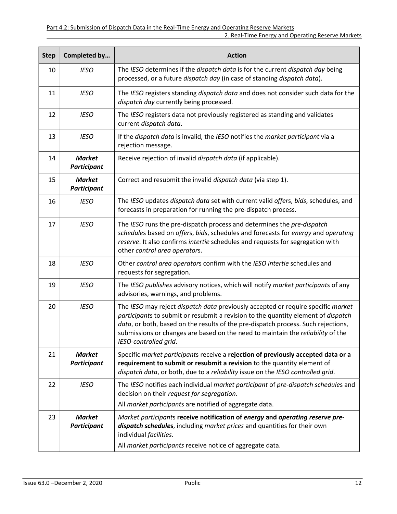| <b>Step</b> | Completed by                        | <b>Action</b>                                                                                                                                                                                                                                                                                                                                                          |
|-------------|-------------------------------------|------------------------------------------------------------------------------------------------------------------------------------------------------------------------------------------------------------------------------------------------------------------------------------------------------------------------------------------------------------------------|
| 10          | <b>IESO</b>                         | The IESO determines if the dispatch data is for the current dispatch day being<br>processed, or a future dispatch day (in case of standing dispatch data).                                                                                                                                                                                                             |
| 11          | <b>IESO</b>                         | The IESO registers standing dispatch data and does not consider such data for the<br>dispatch day currently being processed.                                                                                                                                                                                                                                           |
| 12          | <b>IESO</b>                         | The IESO registers data not previously registered as standing and validates<br>current dispatch data.                                                                                                                                                                                                                                                                  |
| 13          | <b>IESO</b>                         | If the dispatch data is invalid, the IESO notifies the market participant via a<br>rejection message.                                                                                                                                                                                                                                                                  |
| 14          | <b>Market</b><br><b>Participant</b> | Receive rejection of invalid dispatch data (if applicable).                                                                                                                                                                                                                                                                                                            |
| 15          | <b>Market</b><br><b>Participant</b> | Correct and resubmit the invalid dispatch data (via step 1).                                                                                                                                                                                                                                                                                                           |
| 16          | <b>IESO</b>                         | The IESO updates dispatch data set with current valid offers, bids, schedules, and<br>forecasts in preparation for running the pre-dispatch process.                                                                                                                                                                                                                   |
| 17          | <b>IESO</b>                         | The IESO runs the pre-dispatch process and determines the pre-dispatch<br>schedules based on offers, bids, schedules and forecasts for energy and operating<br>reserve. It also confirms intertie schedules and requests for segregation with<br>other control area operators.                                                                                         |
| 18          | <b>IESO</b>                         | Other control area operators confirm with the IESO intertie schedules and<br>requests for segregation.                                                                                                                                                                                                                                                                 |
| 19          | <b>IESO</b>                         | The IESO publishes advisory notices, which will notify market participants of any<br>advisories, warnings, and problems.                                                                                                                                                                                                                                               |
| 20          | <b>IESO</b>                         | The IESO may reject dispatch data previously accepted or require specific market<br>participants to submit or resubmit a revision to the quantity element of dispatch<br>data, or both, based on the results of the pre-dispatch process. Such rejections,<br>submissions or changes are based on the need to maintain the reliability of the<br>IESO-controlled grid. |
| 21          | <b>Market</b><br><b>Participant</b> | Specific market participants receive a rejection of previously accepted data or a<br>requirement to submit or resubmit a revision to the quantity element of<br>dispatch data, or both, due to a reliability issue on the IESO controlled grid.                                                                                                                        |
| 22          | <b>IESO</b>                         | The IESO notifies each individual market participant of pre-dispatch schedules and<br>decision on their request for segregation.                                                                                                                                                                                                                                       |
|             |                                     | All market participants are notified of aggregate data.                                                                                                                                                                                                                                                                                                                |
| 23          | <b>Market</b><br><b>Participant</b> | Market participants receive notification of energy and operating reserve pre-<br>dispatch schedules, including market prices and quantities for their own<br>individual facilities.                                                                                                                                                                                    |
|             |                                     | All market participants receive notice of aggregate data.                                                                                                                                                                                                                                                                                                              |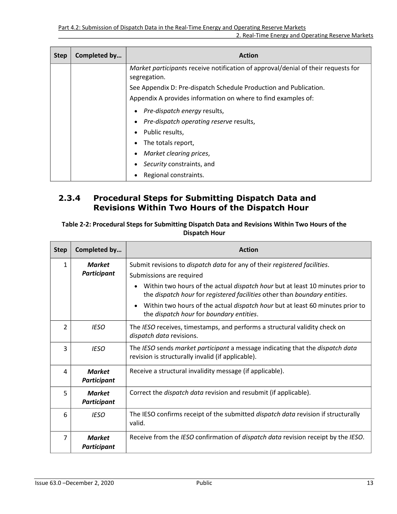| <b>Step</b> | Completed by | <b>Action</b>                                                                                     |
|-------------|--------------|---------------------------------------------------------------------------------------------------|
|             |              | Market participants receive notification of approval/denial of their requests for<br>segregation. |
|             |              | See Appendix D: Pre-dispatch Schedule Production and Publication.                                 |
|             |              | Appendix A provides information on where to find examples of:                                     |
|             |              | Pre-dispatch energy results,                                                                      |
|             |              | Pre-dispatch operating reserve results,                                                           |
|             |              | Public results,                                                                                   |
|             |              | The totals report,                                                                                |
|             |              | Market clearing prices,                                                                           |
|             |              | Security constraints, and                                                                         |
|             |              | Regional constraints.                                                                             |

### <span id="page-19-0"></span>**2.3.4 Procedural Steps for Submitting Dispatch Data and Revisions Within Two Hours of the Dispatch Hour**

#### <span id="page-19-1"></span>**Table 2-2: Procedural Steps for Submitting Dispatch Data and Revisions Within Two Hours of the Dispatch Hour**

| <b>Step</b>    | Completed by                        | <b>Action</b>                                                                                                                                                     |
|----------------|-------------------------------------|-------------------------------------------------------------------------------------------------------------------------------------------------------------------|
| $\mathbf{1}$   | <b>Market</b><br><b>Participant</b> | Submit revisions to dispatch data for any of their registered facilities.<br>Submissions are required                                                             |
|                |                                     | Within two hours of the actual <i>dispatch hour</i> but at least 10 minutes prior to<br>the dispatch hour for registered facilities other than boundary entities. |
|                |                                     | Within two hours of the actual dispatch hour but at least 60 minutes prior to<br>the dispatch hour for boundary entities.                                         |
| $\overline{2}$ | <b>IESO</b>                         | The IESO receives, timestamps, and performs a structural validity check on<br>dispatch data revisions.                                                            |
| 3              | <b>IESO</b>                         | The IESO sends market participant a message indicating that the dispatch data<br>revision is structurally invalid (if applicable).                                |
| 4              | <b>Market</b><br><b>Participant</b> | Receive a structural invalidity message (if applicable).                                                                                                          |
| 5              | <b>Market</b><br><b>Participant</b> | Correct the <i>dispatch data</i> revision and resubmit (if applicable).                                                                                           |
| 6              | <b>IESO</b>                         | The IESO confirms receipt of the submitted <i>dispatch data</i> revision if structurally<br>valid.                                                                |
| 7              | <b>Market</b><br><b>Participant</b> | Receive from the IESO confirmation of dispatch data revision receipt by the IESO.                                                                                 |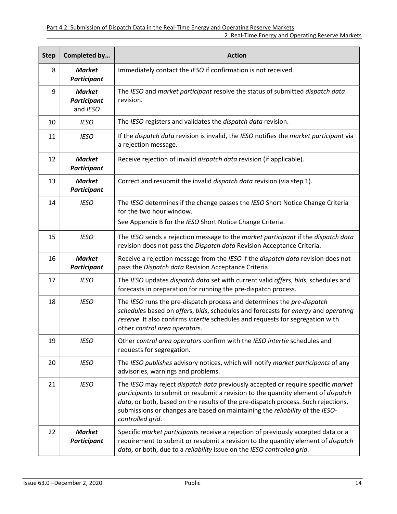| <b>Step</b> | Completed by                             | <b>Action</b>                                                                                                                                                                                                                                                                                                                                                  |
|-------------|------------------------------------------|----------------------------------------------------------------------------------------------------------------------------------------------------------------------------------------------------------------------------------------------------------------------------------------------------------------------------------------------------------------|
| 8           | <b>Market</b><br><b>Participant</b>      | Immediately contact the IESO if confirmation is not received.                                                                                                                                                                                                                                                                                                  |
| 9           | <b>Market</b><br>Participant<br>and IESO | The IESO and market participant resolve the status of submitted dispatch data<br>revision.                                                                                                                                                                                                                                                                     |
| 10          | <b>IESO</b>                              | The IESO registers and validates the dispatch data revision.                                                                                                                                                                                                                                                                                                   |
| 11          | <b>IESO</b>                              | If the dispatch data revision is invalid, the IESO notifies the market participant via<br>a rejection message.                                                                                                                                                                                                                                                 |
| 12          | <b>Market</b><br><b>Participant</b>      | Receive rejection of invalid dispatch data revision (if applicable).                                                                                                                                                                                                                                                                                           |
| 13          | <b>Market</b><br><b>Participant</b>      | Correct and resubmit the invalid dispatch data revision (via step 1).                                                                                                                                                                                                                                                                                          |
| 14          | <b>IESO</b>                              | The IESO determines if the change passes the IESO Short Notice Change Criteria<br>for the two hour window.<br>See Appendix B for the IESO Short Notice Change Criteria.                                                                                                                                                                                        |
| 15          | <b>IESO</b>                              | The IESO sends a rejection message to the market participant if the dispatch data<br>revision does not pass the Dispatch data Revision Acceptance Criteria.                                                                                                                                                                                                    |
| 16          | <b>Market</b><br><b>Participant</b>      | Receive a rejection message from the IESO if the dispatch data revision does not<br>pass the Dispatch data Revision Acceptance Criteria.                                                                                                                                                                                                                       |
| 17          | <b>IESO</b>                              | The IESO updates dispatch data set with current valid offers, bids, schedules and<br>forecasts in preparation for running the pre-dispatch process.                                                                                                                                                                                                            |
| 18          | <b>IESO</b>                              | The IESO runs the pre-dispatch process and determines the pre-dispatch<br>schedules based on offers, bids, schedules and forecasts for energy and operating<br>reserve. It also confirms intertie schedules and requests for segregation with<br>other control area operators.                                                                                 |
| 19          | <b>IESO</b>                              | Other control area operators confirm with the IESO intertie schedules and<br>requests for segregation.                                                                                                                                                                                                                                                         |
| 20          | <b>IESO</b>                              | The IESO publishes advisory notices, which will notify market participants of any<br>advisories, warnings and problems.                                                                                                                                                                                                                                        |
| 21          | <b>IESO</b>                              | The IESO may reject dispatch data previously accepted or require specific market<br>participants to submit or resubmit a revision to the quantity element of dispatch<br>data, or both, based on the results of the pre-dispatch process. Such rejections,<br>submissions or changes are based on maintaining the reliability of the IESO-<br>controlled grid. |
| 22          | <b>Market</b><br><b>Participant</b>      | Specific market participants receive a rejection of previously accepted data or a<br>requirement to submit or resubmit a revision to the quantity element of <i>dispatch</i><br>data, or both, due to a reliability issue on the IESO controlled grid.                                                                                                         |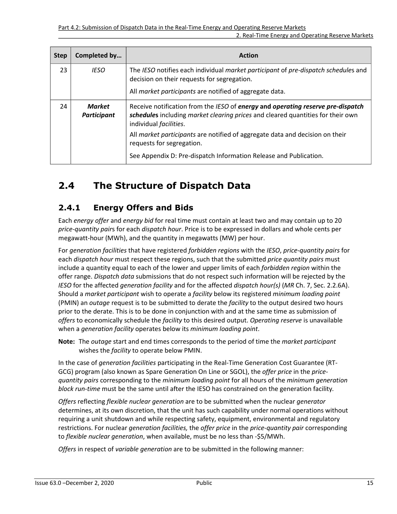| <b>Step</b>                                                         | Completed by | <b>Action</b>                                                                                                                                                      |
|---------------------------------------------------------------------|--------------|--------------------------------------------------------------------------------------------------------------------------------------------------------------------|
| 23                                                                  | <b>IESO</b>  | The IESO notifies each individual market participant of pre-dispatch schedules and<br>decision on their requests for segregation.                                  |
|                                                                     |              | All market participants are notified of aggregate data.                                                                                                            |
| 24<br><b>Market</b><br><b>Participant</b><br>individual facilities. |              | Receive notification from the IESO of energy and operating reserve pre-dispatch<br>schedules including market clearing prices and cleared quantities for their own |
|                                                                     |              | All market participants are notified of aggregate data and decision on their<br>requests for segregation.                                                          |
|                                                                     |              | See Appendix D: Pre-dispatch Information Release and Publication.                                                                                                  |

# <span id="page-21-0"></span>**2.4 The Structure of Dispatch Data**

### <span id="page-21-1"></span>**2.4.1 Energy Offers and Bids**

Each *energy offer* and *energy bid* for real time must contain at least two and may contain up to 20 *price-quantity pair*s for each *dispatch hour*. Price is to be expressed in dollars and whole cents per megawatt-hour (MWh), and the quantity in megawatts (MW) per hour.

For *generation facilities* that have registered *forbidden regions* with the *IESO*, *price-quantity pairs* for each *dispatch hour* must respect these regions, such that the submitted *price quantity pairs* must include a quantity equal to each of the lower and upper limits of each *forbidden region* within the offer range. *Dispatch data* submissions that do not respect such information will be rejected by the *IESO* for the affected *generation facility* and for the affected *dispatch hour(s)* (*MR* Ch. 7, Sec. 2.2.6A). Should a *market participant* wish to operate a *facility* below its registered *minimum loading point* (PMIN) an *outage* request is to be submitted to derate the *facility* to the output desired two hours prior to the derate. This is to be done in conjunction with and at the same time as submission of *offers* to economically schedule the *facility* to this desired output. *Operating reserve* is unavailable when a *generation facility* operates below its *minimum loading point*.

**Note:** The *outage* start and end times corresponds to the period of time the *market participant* wishes the *facility* to operate below PMIN.

In the case of *generation facilities* participating in the Real-Time Generation Cost Guarantee (RT-GCG) program (also known as Spare Generation On Line or SGOL), the *offer price* in the *pricequantity pairs* corresponding to the *minimum loading point* for all hours of the *minimum generation block run-time* must be the same until after the IESO has constrained on the generation facility*.*

*Offers* reflecting *flexible nuclear generation* are to be submitted when the nuclear *generator*  determines, at its own discretion, that the unit has such capability under normal operations without requiring a unit shutdown and while respecting safety, equipment, environmental and regulatory restrictions. For nuclear *generation facilities,* the *offer price* in the *price-quantity pair* corresponding to *flexible nuclear generation*, when available, must be no less than -\$5/MWh.

*Offers* in respect of *variable generation* are to be submitted in the following manner: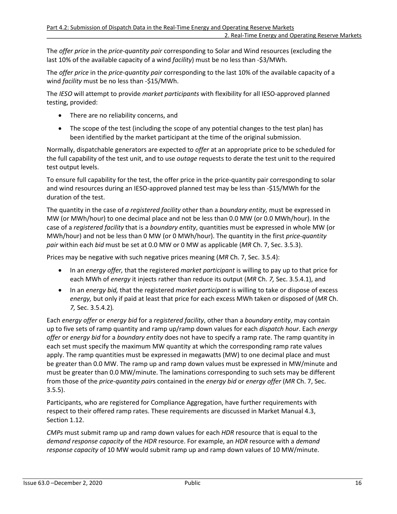The *offer price* in the *price-quantity pair* corresponding to Solar and Wind resources (excluding the last 10% of the available capacity of a wind *facility*) must be no less than -\$3/MWh.

The *offer price* in the *price-quantity pair* corresponding to the last 10% of the available capacity of a wind *facility* must be no less than -\$15/MWh.

The *IESO* will attempt to provide *market participants* with flexibility for all IESO-approved planned testing, provided:

- There are no reliability concerns, and
- The scope of the test (including the scope of any potential changes to the test plan) has been identified by the market participant at the time of the original submission.

Normally, dispatchable generators are expected to *offer* at an appropriate price to be scheduled for the full capability of the test unit, and to use *outage* requests to derate the test unit to the required test output levels.

To ensure full capability for the test, the offer price in the price-quantity pair corresponding to solar and wind resources during an IESO-approved planned test may be less than -\$15/MWh for the duration of the test.

The quantity in the case of *a registered facility* other than a *boundary entity,* must be expressed in MW (or MWh/hour) to one decimal place and not be less than 0.0 MW (or 0.0 MWh/hour). In the case of a *registered facility* that is a *boundary entity*, quantities must be expressed in whole MW (or MWh/hour) and not be less than 0 MW (or 0 MWh/hour). The quantity in the first *price-quantity pair* within each *bid* must be set at 0.0 MW or 0 MW as applicable (*MR* Ch. 7, Sec. 3.5.3).

Prices may be negative with such negative prices meaning (*MR* Ch. 7, Sec. 3.5.4):

- In an *energy offer,* that the registered *market participant* is willing to pay up to that price for each MWh of *energy* it injects rather than reduce its output (*MR* Ch. *7,* Sec. 3.5.4.1), and
- In an *energy bid,* that the registered *market participant* is willing to take or dispose of excess *energy,* but only if paid at least that price for each excess MWh taken or disposed of (*MR* Ch. *7,* Sec. 3.5.4.2)*.*

Each *energy offer* or *energy bid* for a *registered facility*, other than a *boundary entity*, may contain up to five sets of ramp quantity and ramp up/ramp down values for each *dispatch hour*. Each *energy offer* or *energy bid* for a *boundary entity* does not have to specify a ramp rate. The ramp quantity in each set must specify the maximum MW quantity at which the corresponding ramp rate values apply. The ramp quantities must be expressed in megawatts (MW) to one decimal place and must be greater than 0.0 MW. The ramp up and ramp down values must be expressed in MW/minute and must be greater than 0.0 MW/minute. The laminations corresponding to such sets may be different from those of the *price-quantity pair*s contained in the *energy bid* or *energy offer* (*MR* Ch. 7, Sec. 3.5.5).

Participants, who are registered for Compliance Aggregation, have further requirements with respect to their offered ramp rates. These requirements are discussed in Market Manual 4.3, Section 1.12.

*CMPs* must submit ramp up and ramp down values for each *HDR* resource that is equal to the *demand response capacity* of the *HDR* resource. For example, an *HDR* resource with a *demand response capacity* of 10 MW would submit ramp up and ramp down values of 10 MW/minute.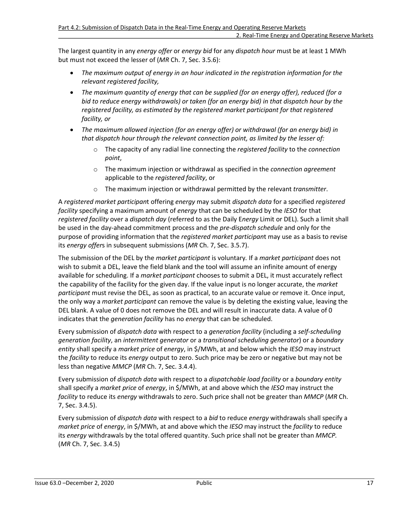The largest quantity in any *energy offer* or *energy bid* for any *dispatch hour* must be at least 1 MWh but must not exceed the lesser of (*MR* Ch. 7, Sec. 3.5.6):

- *The maximum output of energy in an hour indicated in the registration information for the relevant registered facility,*
- *The maximum quantity of energy that can be supplied (for an energy offer), reduced (for a bid to reduce energy withdrawals) or taken (for an energy bid) in that dispatch hour by the registered facility, as estimated by the registered market participant for that registered facility, or*
- *The maximum allowed injection (for an energy offer) or withdrawal (for an energy bid) in that dispatch hour through the relevant connection point, as limited by the lesser of:*
	- o The capacity of any radial line connecting the *registered facility* to the *connection point*,
	- o The maximum injection or withdrawal as specified in the *connection agreement* applicable to the *registered facility*, or
	- o The maximum injection or withdrawal permitted by the relevant *transmitter*.

A *registered market participan*t offering *energy* may submit *dispatch data* for a specified *registered facility* specifying a maximum amount of *energy* that can be scheduled by the *IESO* for that *registered facility* over a *dispatch day* (referred to as the Daily E*nergy* Limit or DEL). Such a limit shall be used in the day-ahead commitment process and the *pre-dispatch schedule* and only for the purpose of providing information that the *registered market participan*t may use as a basis to revise its *energy offer*s in subsequent submissions (*MR* Ch. 7, Sec. 3.5.7).

The submission of the DEL by the *market participant* is voluntary*.* If a *market participant* does not wish to submit a DEL, leave the field blank and the tool will assume an infinite amount of energy available for scheduling. If a *market participant* chooses to submit a DEL, it must accurately reflect the capability of the facility for the given day. If the value input is no longer accurate, the *market participant* must revise the DEL, as soon as practical, to an accurate value or remove it. Once input, the only way a *market participant* can remove the value is by deleting the existing value, leaving the DEL blank. A value of 0 does not remove the DEL and will result in inaccurate data. A value of 0 indicates that the *generation facility* has no *energy* that can be scheduled.

Every submission of *dispatch data* with respect to a *generation facility* (including a *self-scheduling generation facility*, an *intermittent generator* or a *transitional scheduling generator*) or a *boundary entity* shall specify a *market price* of *energy*, in \$/MWh, at and below which the *IESO* may instruct the *facility* to reduce its *energy* output to zero. Such price may be zero or negative but may not be less than negative *MMCP* (*MR* Ch. 7, Sec. 3.4.4).

Every submission of *dispatch data* with respect to a *dispatchable load facility* or a *boundary entity* shall specify a *market price* of *energy*, in \$/MWh, at and above which the *IESO* may instruct the *facility* to reduce its *energy* withdrawals to zero. Such price shall not be greater than *MMCP* (*MR* Ch. 7, Sec. 3.4.5).

Every submission of *dispatch data* with respect to a *bid* to reduce *energy* withdrawals shall specify a *market price* of *energy*, in \$/MWh, at and above which the *IESO* may instruct the *facility* to reduce its *energy* withdrawals by the total offered quantity. Such price shall not be greater than *MMCP.* (*MR* Ch. 7, Sec. 3.4.5)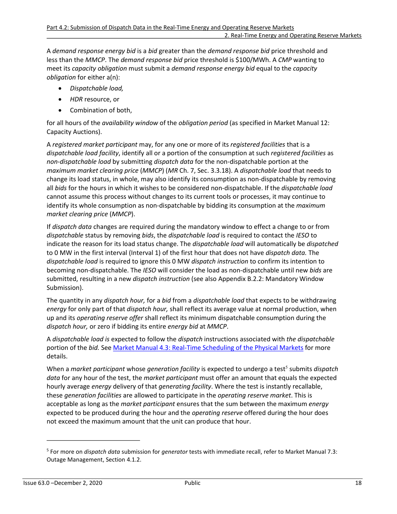A *demand response energy bid* is a *bid* greater than the *demand response bid* price threshold and less than the *MMCP*. The *demand response bid* price threshold is \$100/MWh. A *CMP* wanting to meet its *capacity obligation* must submit a *demand response energy bid* equal to the *capacity obligation* for either a(n):

- *Dispatchable load,*
- *HDR* resource, or
- Combination of both,

for all hours of the *availability window* of the *obligation period* (as specified in Market Manual 12: Capacity Auctions).

A *registered market participant* may, for any one or more of its *registered facilities* that is a *dispatchable load facility*, identify all or a portion of the consumption at such *registered facilities* as *non-dispatchable load* by submitting *dispatch data* for the non-dispatchable portion at the *maximum market clearing price* (*MMCP*) (*MR* Ch. 7, Sec. 3.3.18). A *dispatchable load* that needs to change its load status, in whole, may also identify its consumption as non-dispatchable by removing all *bids* for the hours in which it wishes to be considered non-dispatchable. If the *dispatchable load*  cannot assume this process without changes to its current tools or processes, it may continue to identify its whole consumption as non-dispatchable by bidding its consumption at the *maximum market clearing price* (*MMCP*).

If *dispatch data* changes are required during the mandatory window to effect a change to or from *dispatchable* status by removing *bids*, the *dispatchable load* is required to contact the *IESO* to indicate the reason for its load status change. The *dispatchable load* will automatically be *dispatched*  to 0 MW in the first interval (Interval 1) of the first hour that does not have *dispatch data.* The *dispatchable load* is required to ignore this 0 MW *dispatch instruction* to confirm its intention to becoming non-dispatchable. The *IESO* will consider the load as non-dispatchable until new *bids* are submitted, resulting in a new *dispatch instruction* (see also Appendix B.2.2: Mandatory Window Submission).

The quantity in any *dispatch hour,* for a *bid* from a *dispatchable load* that expects to be withdrawing *energy* for only part of that *dispatch hour,* shall reflect its average value at normal production, when up and its *operating reserve offer* shall reflect its minimum dispatchable consumption during the *dispatch hour,* or zero if bidding its entire *energy bid* at *MMCP*.

A *dispatchable load is* expected to follow the *dispatch* instructions associated with *the dispatchable*  portion of the *bid.* See [Market Manual 4.3: Real-Time Scheduling of the Physical Markets](http://www.ieso.ca/-/media/files/ieso/document-library/market-rules-and-manuals-library/market-manuals/market-operations/mo-realtimescheduling.pdf) for more details.

<span id="page-24-1"></span>When a *market participant* whose *generation facility* is expected to undergo a test<sup>[5](#page-24-0)</sup> submits *dispatch data* for any hour of the test, the *market participant* must offer an amount that equals the expected hourly average *energy* delivery of that *generating facility*. Where the test is instantly recallable, these *generation facilities* are allowed to participate in the *operating reserve market*. This is acceptable as long as the *market participant* ensures that the sum between the maximum *energy* expected to be produced during the hour and the *operating reserve* offered during the hour does not exceed the maximum amount that the unit can produce that hour.

<span id="page-24-0"></span>[<sup>5</sup>](#page-24-1) For more on *dispatch data* submission for *generator* tests with immediate recall, refer to Market Manual 7.3: Outage Management, Section 4.1.2.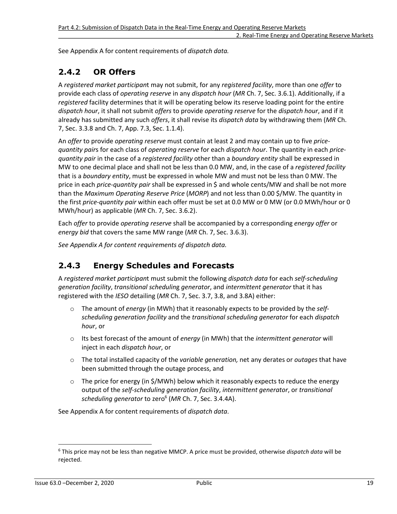See Appendix A for content requirements of *dispatch data.* 

### <span id="page-25-0"></span>**2.4.2 OR Offers**

A *registered market participan*t may not submit, for any *registered facility*, more than one *offer* to provide each class of *operating reserve* in any *dispatch hour* (*MR* Ch. 7, Sec. 3.6.1). Additionally, if a *registered* facility determines that it will be operating below its reserve loading point for the entire *dispatch hour*, it shall not submit *offers* to provide *operating reserve* for the *dispatch hour*, and if it already has submitted any such *offers*, it shall revise its *dispatch data* by withdrawing them (*MR* Ch. 7, Sec. 3.3.8 and Ch. 7, App. 7.3, Sec. 1.1.4).

An *offer* to provide *operating reserve* must contain at least 2 and may contain up to five *pricequantity pair*s for each class of *operating reserve* for each *dispatch hour*. The quantity in each *pricequantity pair* in the case of a *registered facility* other than a *boundary entity* shall be expressed in MW to one decimal place and shall not be less than 0.0 MW, and, in the case of a *registered facility* that is a *boundary entity*, must be expressed in whole MW and must not be less than 0 MW. The price in each *price-quantity pair* shall be expressed in \$ and whole cents/MW and shall be not more than the *Maximum Operating Reserve Price* (*MORP*) and not less than 0.00 \$/MW. The quantity in the first *price-quantity pair* within each offer must be set at 0.0 MW or 0 MW (or 0.0 MWh/hour or 0 MWh/hour) as applicable (*MR* Ch. 7, Sec. 3.6.2).

Each *offer* to provide *operating reserve* shall be accompanied by a corresponding *energy offer* or *energy bid* that covers the same MW range (*MR* Ch. 7, Sec. 3.6.3).

*See Appendix A for content requirements of dispatch data.* 

### <span id="page-25-1"></span>**2.4.3 Energy Schedules and Forecasts**

A *registered market participan*t must submit the following *dispatch data* for each *self-scheduling generation facility*, *transitional schedulin*g *generator*, and *intermittent generator* that it has registered with the *IESO* detailing (*MR* Ch. 7, Sec. 3.7, 3.8, and 3.8A) either:

- o The amount of *energy* (in MWh) that it reasonably expects to be provided by the *selfscheduling generation facility* and the *transitional scheduling generator* for each *dispatch hour*, or
- o Its best forecast of the amount of *energy* (in MWh) that the *intermittent generator* will inject in each *dispatch hour*, or
- o The total installed capacity of the *variable generation,* net any derates or *outages* that have been submitted through the outage process, and
- <span id="page-25-3"></span> $\circ$  The price for energy (in \$/MWh) below which it reasonably expects to reduce the energy output of the *self-scheduling generation facility*, *intermittent generator*, or *transitional scheduling generator* to zero[6](#page-25-2) (*MR* Ch. 7, Sec. 3.4.4A).

See Appendix A for content requirements of *dispatch data*.

<span id="page-25-2"></span>[<sup>6</sup>](#page-25-3) This price may not be less than negative MMCP. A price must be provided, otherwise *dispatch data* will be rejected.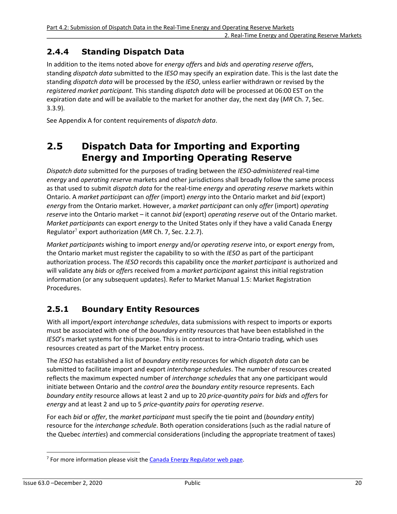### <span id="page-26-0"></span>**2.4.4 Standing Dispatch Data**

In addition to the items noted above for *energy offer*s and *bids* and *operating reserve offer*s, standing *dispatch data* submitted to the *IESO* may specify an expiration date. This is the last date the standing *dispatch data* will be processed by the *IESO*, unless earlier withdrawn or revised by the *registered market participant.* This standing *dispatch data* will be processed at 06:00 EST on the expiration date and will be available to the market for another day, the next day (*MR* Ch. 7, Sec. 3.3.9)*.* 

<span id="page-26-1"></span>See Appendix A for content requirements of *dispatch data*.

### **2.5 Dispatch Data for Importing and Exporting Energy and Importing Operating Reserve**

*Dispatch data* submitted for the purposes of trading between the *IESO*-*administered* real-time *energy* and *operating rese*rve markets and other jurisdictions shall broadly follow the same process as that used to submit *dispatch data* for the real-time *energy* and *operating reserve* markets within Ontario. A *market participan*t can *offer* (import) *energy* into the Ontario market and *bid* (export) *energy* from the Ontario market. However, a *market participant* can only *offer* (import) *operating reserve* into the Ontario market – it cannot *bid* (export) *operating reserve* out of the Ontario market. *Market participants* can export *energy* to the United States only if they have a valid Canada Energy Regulator[7](#page-26-3) export authorization (*MR* Ch. 7, Sec. 2.2.7).

<span id="page-26-4"></span>*Market participants* wishing to import *energy* and/or *operating reserve* into, or export *energy* from, the Ontario market must register the capability to so with the *IESO* as part of the participant authorization process. The *IESO* records this capability once the *market participant* is authorized and will validate any *bids* or *offer*s received from a *market participant* against this initial registration information (or any subsequent updates). Refer to Market Manual 1.5: Market Registration Procedures.

### <span id="page-26-2"></span>**2.5.1 Boundary Entity Resources**

With all import/export *interchange schedules*, data submissions with respect to imports or exports must be associated with one of the *boundary entity* resources that have been established in the *IESO*'s market systems for this purpose. This is in contrast to intra-Ontario trading, which uses resources created as part of the Market entry process.

The *IESO* has established a list of *boundary entity* resources for which *dispatch data* can be submitted to facilitate import and export *interchange schedules*. The number of resources created reflects the maximum expected number of *interchange schedules* that any one participant would initiate between Ontario and the *control area* the *boundary entity* resource represents. Each *boundary entity* resource allows at least 2 and up to 20 *price-quantity pairs* for *bids* and *offer*s for *energy* and at least 2 and up to 5 *price-quantity pairs* for *operating reserve*.

For each *bid* or *offer*, the *market participant* must specify the tie point and (*boundary entity*) resource for the *interchange schedule*. Both operation considerations (such as the radial nature of the Quebec *interties*) and commercial considerations (including the appropriate treatment of taxes)

<span id="page-26-3"></span><sup>&</sup>lt;sup>[7](#page-26-4)</sup> For more information please visit the **Canada Energy Regulator web page**.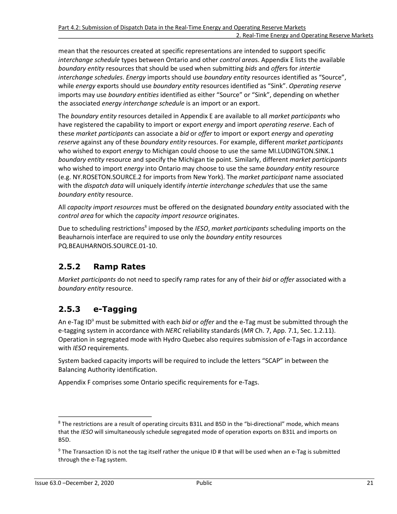mean that the resources created at specific representations are intended to support specific *interchange schedule* types between Ontario and other *control area*s. Appendix E lists the available *boundary entity* resources that should be used when submitting *bids* and *offer*s for *intertie interchange schedules*. *Energy* imports should use *boundary entity* resources identified as "Source", while *energy* exports should use *boundary entity* resources identified as "Sink". *Operating reserve* imports may use *boundary entities* identified as either "Source" or "Sink", depending on whether the associated *energy interchange schedule* is an import or an export.

The *boundary entity* resources detailed in Appendix E are available to all *market participants* who have registered the capability to import or export *energy* and import *operating reserve*. Each of these *market participants* can associate a *bid* or *offer* to import or export *energy* and *operating reserve* against any of these *boundary entity* resources. For example, different *market participants* who wished to export *energy* to Michigan could choose to use the same MI.LUDINGTON.SINK.1 *boundary entity* resource and specify the Michigan tie point. Similarly, different *market participants* who wished to import *energy* into Ontario may choose to use the same *boundary entity* resource (e.g. NY.ROSETON.SOURCE.2 for imports from New York). The *market participant* name associated with the *dispatch data* will uniquely identify *intertie interchange schedules* that use the same *boundary entity* resource.

All *capacity import resources* must be offered on the designated *boundary entity* associated with the *control area* for which the *capacity import resource* originates.

<span id="page-27-4"></span>Due to scheduling restrictions<sup>[8](#page-27-2)</sup> imposed by the *IESO, market participants* scheduling imports on the Beauharnois interface are required to use only the *boundary entity* resources PQ.BEAUHARNOIS.SOURCE.01-10.

### <span id="page-27-0"></span>**2.5.2 Ramp Rates**

*Market participants* do not need to specify ramp rates for any of their *bid* or *offer* associated with a *boundary entity* resource.

### <span id="page-27-1"></span>**2.5.3 e-Tagging**

<span id="page-27-5"></span>An e-Tag ID<sup>[9](#page-27-3)</sup> must be submitted with each *bid* or *offer* and the e-Tag must be submitted through the e-tagging system in accordance with *NERC* reliability standards (*MR* Ch. 7, App. 7.1, Sec. 1.2.11). Operation in segregated mode with Hydro Quebec also requires submission of e-Tags in accordance with *IESO* requirements.

System backed capacity imports will be required to include the letters "SCAP" in between the Balancing Authority identification.

Appendix F comprises some Ontario specific requirements for e-Tags.

<span id="page-27-2"></span><sup>&</sup>lt;sup>[8](#page-27-4)</sup> The restrictions are a result of operating circuits B31L and B5D in the "bi-directional" mode, which means that the *IESO* will simultaneously schedule segregated mode of operation exports on B31L and imports on B5D.

<span id="page-27-3"></span><sup>&</sup>lt;sup>[9](#page-27-5)</sup> The Transaction ID is not the tag itself rather the unique ID # that will be used when an e-Tag is submitted through the e-Tag system.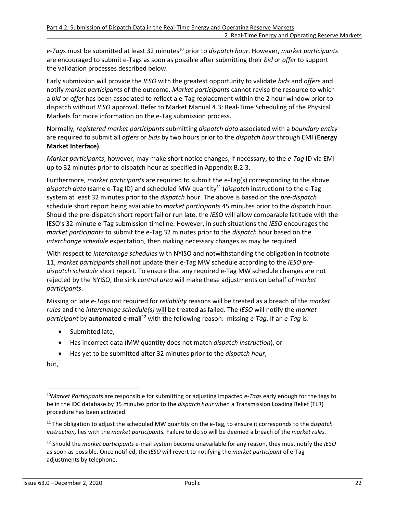<span id="page-28-3"></span>*e-Tag*s must be submitted at least 32 minutes[10](#page-28-0) prior to *dispatch hour*. However, *market participants* are encouraged to submit e-Tags as soon as possible after submitting their *bid* or *offer* to support the validation processes described below.

Early submission will provide the *IESO* with the greatest opportunity to validate *bids* and *offer*s and notify *market participants* of the outcome. *Market participants* cannot revise the resource to which a *bid* or *offer* has been associated to reflect a e-Tag replacement within the 2 hour window prior to dispatch without *IESO* approval. Refer to Market Manual 4.3: Real-Time Scheduling of the Physical Markets for more information on the e*-*Tag submission process.

Normally*, registered market participants* submitting *dispatch data* associated with a *boundary entity* are required to submit all *offers* or *bids* by two hours prior to the *dispatch hour* through EMI (**Energy Market Interface)**.

*Market participants*, however, may make short notice changes, if necessary, to the *e-Tag* ID via EMI up to 32 minutes prior to dispatch hour as specified in Appendix B.2.3.

<span id="page-28-4"></span>Furthermore, *market participants* are required to submit the e-Tag(s) corresponding to the above *dispatch data* (same e-Tag ID) and scheduled MW quantity[11](#page-28-1) (*dispatch* instruction) to the e-Tag system at least 32 minutes prior to the *dispatch* hour. The above is based on the *pre-dispatch* schedule short report being available to *market participants* 45 minutes prior to the *di*spatch hour. Should the pre-dispatch short report fail or run late, the *IES*O will allow comparable latitude with the IESO's 32-minute e-Tag submission timeline. However, in such situations the *IESO* encourages the *market participants* to submit the e-Tag 32 minutes prior to the *dispatch* hour based on the *interchange schedule* expectation, then making necessary changes as may be required.

With respect to *interchange schedules* with NYISO and notwithstanding the obligation in footnote 11, *market participants* shall not update their e-Tag MW schedule according to the *IESO predispatch schedule* short report. To ensure that any required e-Tag MW schedule changes are not rejected by the NYISO, the sink *control area* will make these adjustments on behalf of *market participants*.

Missing or late *e-Tag*s not required for *reliability* reasons will be treated as a breach of the *market rules* and the *interchange schedule(s)* will be treated as failed. The *IESO* will notify the *market participant* by **automated e-mail**[12](#page-28-2) with the following reason: missing *e-Tag*. If an *e-Tag* is:

- <span id="page-28-5"></span>• Submitted late,
- Has incorrect data (MW quantity does not match *dispatch instruction*), or
- Has yet to be submitted after 32 minutes prior to the *dispatch hour*,

but,

<span id="page-28-0"></span>[<sup>10</sup>](#page-28-3)*Market Participants* are responsible for submitting or adjusting impacted *e-Tag*s early enough for the tags to be in the IDC database by 35 minutes prior to the *dispatch hour* when a Transmission Loading Relief (TLR) procedure has been activated.

<span id="page-28-1"></span>[<sup>11</sup>](#page-28-4) The obligation to adjust the scheduled MW quantity on the e-Tag, to ensure it corresponds to the d*ispatch instruction,* lies with the *market participants.* Failure to do so will be deemed a breach of the *market rules.* 

<span id="page-28-2"></span>[<sup>12</sup>](#page-28-5) Should the *market participants* e-mail system become unavailable for any reason, they must notify the *IESO* as soon as possible. Once notified, the *IESO* will revert to notifying the *market participant* of e-Tag adjustments by telephone.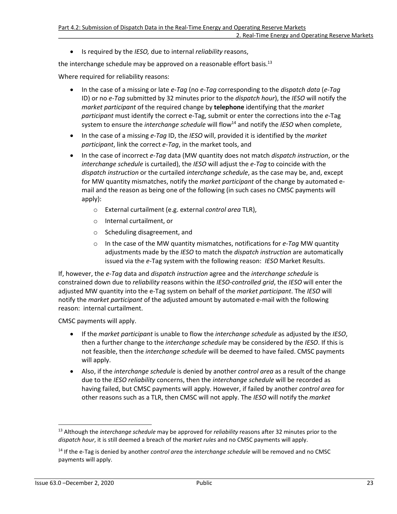<span id="page-29-2"></span>• Is required by the *IESO,* due to internal *reliability* reasons,

the interchange schedule may be approved on a reasonable effort basis. $^{13}$  $^{13}$  $^{13}$ 

Where required for reliability reasons:

- In the case of a missing or late *e-Tag* (no *e-Tag* corresponding to the *dispatch data* (*e-Tag* ID) or no *e-Tag* submitted by 32 minutes prior to the *dispatch hour*), the *IESO* will notify the *market participant* of the required change by **telephone** identifying that the *market participant* must identify the correct e-Tag, submit or enter the corrections into the *e-*Tag system to ensure the *interchange schedule* will flow<sup>[14](#page-29-1)</sup> and notify the *IESO* when complete,
- <span id="page-29-3"></span>• In the case of a missing *e-Tag* ID, the *IESO* will, provided it is identified by the *market participant*, link the correct *e-Tag*, in the market tools, and
- In the case of incorrect *e-Tag* data (MW quantity does not match *dispatch instruction*, or the *interchange schedule* is curtailed), the *IESO* will adjust the *e-Tag* to coincide with the *dispatch instruction* or the curtailed *interchange schedule*, as the case may be, and, except for MW quantity mismatches, notify the *market participant* of the change by automated email and the reason as being one of the following (in such cases no CMSC payments will apply):
	- o External curtailment (e.g. external *control area* TLR),
	- o Internal curtailment, or
	- o Scheduling disagreement, and
	- o In the case of the MW quantity mismatches, notifications for *e-Tag* MW quantity adjustments made by the *IESO* to match the *dispatch instruction* are automatically issued via the *e-*Tag system with the following reason: *IESO* Market Results.

If, however, the *e-Tag* data and *dispatch instruction* agree and the *interchange schedule* is constrained down due to *reliability* reasons within the *IESO-controlled grid*, the *IESO* will enter the adjusted MW quantity into the e-Tag system on behalf of the *market participant*. The *IESO* will notify the *market participant* of the adjusted amount by automated e-mail with the following reason: internal curtailment.

CMSC payments will apply.

- If the *market participant* is unable to flow the *interchange schedule* as adjusted by the *IESO*, then a further change to the *interchange schedule* may be considered by the *IESO*. If this is not feasible, then the *interchange schedule* will be deemed to have failed. CMSC payments will apply.
- Also, if the *interchange schedule* is denied by another *control area* as a result of the change due to the *IESO reliability* concerns, then the *interchange schedule* will be recorded as having failed, but CMSC payments will apply. However, if failed by another *control area* for other reasons such as a TLR, then CMSC will not apply. The *IESO* will notify the *market*

<span id="page-29-0"></span>[<sup>13</sup>](#page-29-2) Although the *interchange schedule* may be approved for *reliability* reasons after 32 minutes prior to the *dispatch hour*, it is still deemed a breach of the *market rules* and no CMSC payments will apply.

<span id="page-29-1"></span>[<sup>14</sup>](#page-29-3) If the e-Tag is denied by another *control area* the *interchange schedule* will be removed and no CMSC payments will apply.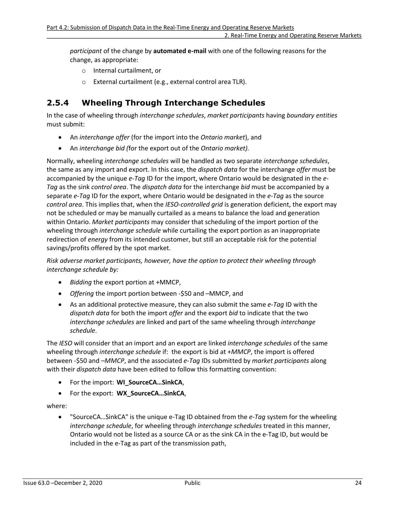*participant* of the change by **automated e-mail** with one of the following reasons for the change, as appropriate:

- o Internal curtailment, or
- o External curtailment (e.g., external control area TLR).

### <span id="page-30-0"></span>**2.5.4 Wheeling Through Interchange Schedules**

In the case of wheeling through *interchange schedules*, *market participants* having *boundary entities* must submit:

- An *interchange offer* (for the import into the *Ontario market*), and
- An *interchange bid (*for the export out of the *Ontario market).*

Normally, wheeling *interchange schedules* will be handled as two separate *interchange schedules*, the same as any import and export. In this case, the *dispatch data* for the interchange *offer* must be accompanied by the unique *e-Tag* ID for the import, where Ontario would be designated in the *e-Tag* as the sink *control area*. The *dispatch data* for the interchange *bid* must be accompanied by a separate *e-Tag* ID for the export, where Ontario would be designated in the *e-Tag* as the source *control area*. This implies that, when the *IESO*-*controlled grid* is generation deficient, the export may not be scheduled or may be manually curtailed as a means to balance the load and generation within Ontario. *Market participants* may consider that scheduling of the import portion of the wheeling through *interchange schedule* while curtailing the export portion as an inappropriate redirection of *energy* from its intended customer, but still an acceptable risk for the potential savings/profits offered by the spot market.

*Risk adverse market participants, however, have the option to protect their wheeling through interchange schedule by:* 

- *Bidding* the export portion at +MMCP,
- *Offering* the import portion between -\$50 and –MMCP, and
- As an additional protective measure, they can also submit the same *e-Tag* ID with the *dispatch data* for both the import *offer* and the export *bid* to indicate that the two *interchange schedules* are linked and part of the same wheeling through *interchange schedule*.

The *IESO* will consider that an import and an export are linked *interchange schedules* of the same wheeling through *interchange schedule* if: the export is bid at +*MMCP*, the import is offered between -\$50 and –*MMCP*, and the associated *e-Tag* IDs submitted by *market participants* along with their *dispatch data* have been edited to follow this formatting convention:

- For the import: **WI\_SourceCA…SinkCA**,
- For the export: **WX\_SourceCA…SinkCA**,

where:

• "SourceCA…SinkCA" is the unique e-Tag ID obtained from the *e-Tag* system for the wheeling *interchange schedule*, for wheeling through *interchange schedules* treated in this manner, Ontario would not be listed as a source CA or as the sink CA in the e-Tag ID, but would be included in the e-Tag as part of the transmission path,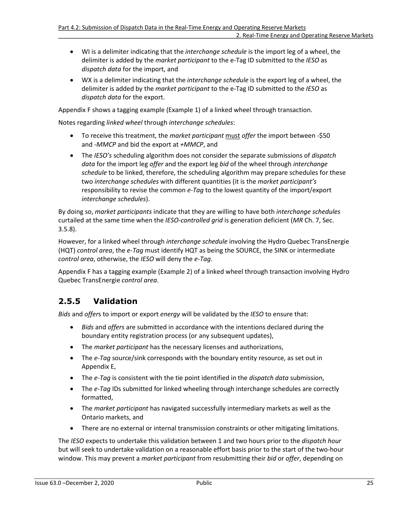- WI is a delimiter indicating that the *interchange schedule* is the import leg of a wheel, the delimiter is added by the *market participant* to the e-Tag ID submitted to the *IESO* as *dispatch data* for the import, and
- WX is a delimiter indicating that the *interchange schedule* is the export leg of a wheel, the delimiter is added by the *market participant* to the e-Tag ID submitted to the *IESO* as *dispatch data* for the export.

Appendix F shows a tagging example (Example 1) of a linked wheel through transaction.

Notes regarding *linked wheel* through *interchange schedules*:

- To receive this treatment, the *market participant* must *offer* the import between -\$50 and *-MMCP* and bid the export at *+MMCP*, and
- The *IESO's* scheduling algorithm does not consider the separate submissions of *dispatch data* for the import leg *offer* and the export leg *bid* of the wheel through *interchange schedule* to be linked, therefore, the scheduling algorithm may prepare schedules for these two *interchange schedules* with different quantities (it is the *market participant's* responsibility to revise the common *e-Tag* to the lowest quantity of the import/export *interchange schedules*).

By doing so, *market participants* indicate that they are willing to have both *interchange schedules*  curtailed at the same time when the *IESO*-*controlled grid* is generation deficient (*MR* Ch. 7, Sec. 3.5.8).

However, for a linked wheel through *interchange schedule* involving the Hydro Quebec TransEnergie (HQT) *control area*, the *e-Tag* must identify HQT as being the SOURCE, the SINK or intermediate *control area*, otherwise, the *IESO* will deny the *e-Tag*.

Appendix F has a tagging example (Example 2) of a linked wheel through transaction involving Hydro Quebec TransEnergie *control area*.

### <span id="page-31-0"></span>**2.5.5 Validation**

*Bids* and *offer*s to import or export *energy* will be validated by the *IESO* to ensure that:

- *Bids* and *offers* are submitted in accordance with the intentions declared during the boundary entity registration process (or any subsequent updates),
- The *market participant* has the necessary licenses and authorizations,
- The *e-Tag* source/sink corresponds with the boundary entity resource, as set out in Appendix E,
- The *e-Tag* is consistent with the tie point identified in the *dispatch data* submission,
- The *e-Tag* IDs submitted for linked wheeling through interchange schedules are correctly formatted,
- The *market participant* has navigated successfully intermediary markets as well as the Ontario markets, and
- There are no external or internal transmission constraints or other mitigating limitations.

The *IESO* expects to undertake this validation between 1 and two hours prior to the *dispatch hour* but will seek to undertake validation on a reasonable effort basis prior to the start of the two-hour window. This may prevent a *market participant* from resubmitting their *bid* or *offer*, depending on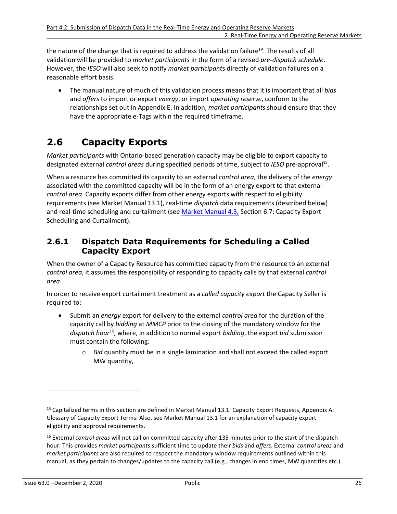the nature of the change that is required to address the validation failure<sup>19</sup>. The results of all validation will be provided to *market participants* in the form of a revised *pre-dispatch schedule*. However, the *IESO* will also seek to notify *market participant*s directly of validation failures on a reasonable effort basis.

<span id="page-32-4"></span>• The manual nature of much of this validation process means that it is important that all *bids* and *offers* to import or export *energy*, or import *operating reserve*, conform to the relationships set out in Appendix E. In addition, *market participants* should ensure that they have the appropriate e-Tags within the required timeframe.

# <span id="page-32-0"></span>**2.6 Capacity Exports**

*Market participants* with Ontario-based generation capacity may be eligible to export capacity to designated external *control areas* during specified periods of time, subject to IESO pre-approval<sup>[15](#page-32-2)</sup>.

When a resource has committed its capacity to an external *control area*, the delivery of the *energy* associated with the committed capacity will be in the form of an energy export to that external *control area*. Capacity exports differ from other energy exports with respect to eligibility requirements (see Market Manual 13.1), real-time *dispatch* data requirements (described below) and real-time scheduling and curtailment (see [Market Manual 4.3,](http://www.ieso.ca/-/media/files/ieso/document-library/market-rules-and-manuals-library/market-manuals/market-operations/mo-realtimescheduling.pdf) Section 6.7: Capacity Export Scheduling and Curtailment).

### <span id="page-32-1"></span>**2.6.1 Dispatch Data Requirements for Scheduling a Called Capacity Export**

When the owner of a Capacity Resource has committed capacity from the resource to an external *control area*, it assumes the responsibility of responding to capacity calls by that external *control area*.

In order to receive export curtailment treatment as a *called capacity export* the Capacity Seller is required to:

- <span id="page-32-5"></span>• Submit an *energy* export for delivery to the external *control area* for the duration of the capacity call by *bidding* at *MMCP* prior to the closing of the mandatory window for the *dispatch hour*[16](#page-32-3), where, in addition to normal export *bidding*, the export *bid* submission must contain the following:
	- o B*id* quantity must be in a single lamination and shall not exceed the called export MW quantity,

<span id="page-32-2"></span><sup>&</sup>lt;sup>[15](#page-32-4)</sup> Capitalized terms in this section are defined in Market Manual 13.1: Capacity Export Requests, Appendix A: Glossary of Capacity Export Terms. Also, see Market Manual 13.1 for an explanation of capacity export eligibility and approval requirements.

<span id="page-32-3"></span>[<sup>16</sup>](#page-32-5) External *control areas* will not call on committed capacity after 135 minutes prior to the start of the dispatch hour. This provides *market participants* sufficient time to update their *bids* and *offers*. External *control areas* and *market participants* are also required to respect the mandatory window requirements outlined within this manual, as they pertain to changes/updates to the capacity call (e.g., changes in end times, MW quantities etc.).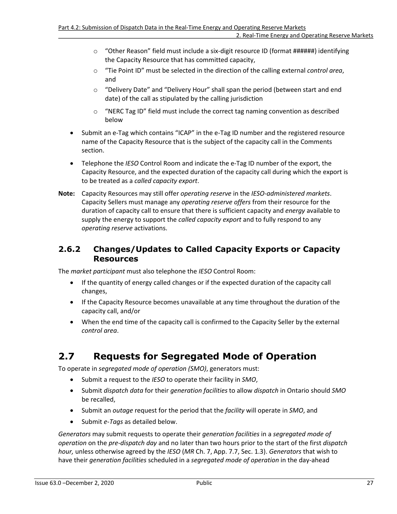#### 2. Real-Time Energy and Operating Reserve Markets

- $\circ$  "Other Reason" field must include a six-digit resource ID (format #######) identifying the Capacity Resource that has committed capacity,
- o "Tie Point ID" must be selected in the direction of the calling external *control area*, and
- o "Delivery Date" and "Delivery Hour" shall span the period (between start and end date) of the call as stipulated by the calling jurisdiction
- $\circ$  "NERC Tag ID" field must include the correct tag naming convention as described below
- Submit an e-Tag which contains "ICAP" in the e-Tag ID number and the registered resource name of the Capacity Resource that is the subject of the capacity call in the Comments section.
- Telephone the *IESO* Control Room and indicate the e-Tag ID number of the export, the Capacity Resource, and the expected duration of the capacity call during which the export is to be treated as a *called capacity export*.
- **Note:** Capacity Resources may still offer *operating reserve* in the *IESO-administered markets*. Capacity Sellers must manage any *operating reserve offers* from their resource for the duration of capacity call to ensure that there is sufficient capacity and *energy* available to supply the energy to support the *called capacity export* and to fully respond to any *operating reserve* activations.

### <span id="page-33-0"></span>**2.6.2 Changes/Updates to Called Capacity Exports or Capacity Resources**

The *market participant* must also telephone the *IESO* Control Room:

- If the quantity of energy called changes or if the expected duration of the capacity call changes,
- If the Capacity Resource becomes unavailable at any time throughout the duration of the capacity call, and/or
- When the end time of the capacity call is confirmed to the Capacity Seller by the external *control area*.

# <span id="page-33-1"></span>**2.7 Requests for Segregated Mode of Operation**

To operate in *segregated mode of operation (SMO)*, generators must:

- Submit a request to the *IESO* to operate their facility in *SMO*,
- Submit *dispatch data* for their *generation facilities* to allow *dispatch* in Ontario should *SMO* be recalled,
- Submit an *outage* request for the period that the *facility* will operate in *SMO*, and
- Submit *e-Tags* as detailed below.

*Generators* may submit requests to operate their *generation facilities* in a *segregated mode of operation* on the *pre-dispatch day* and no later than two hours prior to the start of the first *dispatch hour,* unless otherwise agreed by the *IESO* (*MR* Ch. 7, App. 7.7, Sec. 1.3). *Generators* that wish to have their *generation facilities* scheduled in a *segregated mode of operation* in the day-ahead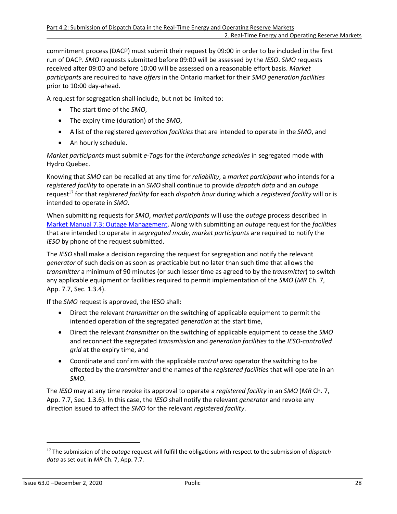commitment process (DACP) must submit their request by 09:00 in order to be included in the first run of DACP. *SMO* requests submitted before 09:00 will be assessed by the *IESO*. *SMO* requests received after 09:00 and before 10:00 will be assessed on a reasonable effort basis. *Market participants* are required to have *offers* in the Ontario market for their *SMO generation facilities* prior to 10:00 day-ahead.

A request for segregation shall include, but not be limited to:

- The start time of the *SMO*,
- The expiry time (duration) of the *SMO*,
- A list of the registered *generation facilities* that are intended to operate in the *SMO*, and
- An hourly schedule.

*Market participants* must submit *e-Tag*s for the *interchange schedules* in segregated mode with Hydro Quebec.

<span id="page-34-1"></span>Knowing that *SMO* can be recalled at any time for *reliability*, a *market participant* who intends for a *registered facility* to operate in an *SMO* shall continue to provide *dispatch data* and an *outage* request<sup>[17](#page-34-0)</sup> for that *registered facility* for each *dispatch hour* during which a *registered facility* will or is intended to operate in *SMO*.

When submitting requests for *SMO*, *market participants* will use the *outage* process described in [Market Manual 7.3: Outage Management.](http://www.ieso.ca/-/media/files/ieso/document-library/market-rules-and-manuals-library/market-manuals/system-operations/so-outagemanagement.pdf) Along with submitting an *outage* request for the *facilities* that are intended to operate in *segregated mode*, *market participants* are required to notify the *IESO* by phone of the request submitted.

The *IESO* shall make a decision regarding the request for segregation and notify the relevant *generator* of such decision as soon as practicable but no later than such time that allows the *transmitter* a minimum of 90 minutes (or such lesser time as agreed to by the *transmitter*) to switch any applicable equipment or facilities required to permit implementation of the *SMO* (*MR* Ch. 7, App. 7.7, Sec. 1.3.4).

If the *SMO* request is approved, the IESO shall:

- Direct the relevant *transmitter* on the switching of applicable equipment to permit the intended operation of the segregated *generation* at the start time,
- Direct the relevant *transmitter* on the switching of applicable equipment to cease the *SMO* and reconnect the segregated *transmission* and *generation facilities* to the *IESO-controlled grid* at the expiry time, and
- Coordinate and confirm with the applicable *control area* operator the switching to be effected by the *transmitter* and the names of the *registered facilities* that will operate in an *SMO*.

The *IESO* may at any time revoke its approval to operate a *registered facility* in an *SMO* (*MR* Ch. 7, App. 7.7, Sec. 1.3.6). In this case, the *IESO* shall notify the relevant *generator* and revoke any direction issued to affect the *SMO* for the relevant *registered facility*.

<span id="page-34-0"></span>[<sup>17</sup>](#page-34-1) The submission of the *outage* request will fulfill the obligations with respect to the submission of *dispatch data* as set out in *MR* Ch. 7, App. 7.7.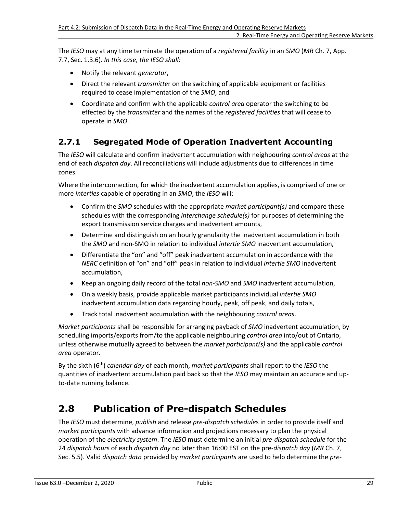The *IESO* may at any time terminate the operation of a *registered facility* in an *SMO* (*MR* Ch. 7, App. 7.7, Sec. 1.3.6)*. In this case, the IESO shall:* 

- Notify the relevant *generator*,
- Direct the relevant *transmitte*r on the switching of applicable equipment or facilities required to cease implementation of the *SMO*, and
- Coordinate and confirm with the applicable *control area* operator the switching to be effected by the *transmitter* and the names of the *registered facilities* that will cease to operate in *SMO*.

### <span id="page-35-0"></span>**2.7.1 Segregated Mode of Operation Inadvertent Accounting**

The *IESO* will calculate and confirm inadvertent accumulation with neighbouring *control areas* at the end of each *dispatch day*. All reconciliations will include adjustments due to differences in time zones.

Where the interconnection, for which the inadvertent accumulation applies, is comprised of one or more *interties* capable of operating in an *SMO*, the *IESO* will:

- Confirm the *SMO* schedules with the appropriate *market participant(s)* and compare these schedules with the corresponding *interchange schedule(s)* for purposes of determining the export transmission service charges and inadvertent amounts,
- Determine and distinguish on an hourly granularity the inadvertent accumulation in both the *SMO* and non-SMO in relation to individual *intertie SMO* inadvertent accumulation,
- Differentiate the "on" and "off" peak inadvertent accumulation in accordance with the *NERC* definition of "on" and "off" peak in relation to individual *intertie SMO* inadvertent accumulation,
- Keep an ongoing daily record of the total *non-SMO* and *SMO* inadvertent accumulation,
- On a weekly basis, provide applicable market participants individual *intertie SMO* inadvertent accumulation data regarding hourly, peak, off peak, and daily totals,
- Track total inadvertent accumulation with the neighbouring *control areas*.

*Market participants* shall be responsible for arranging payback of *SMO* inadvertent accumulation, by scheduling imports/exports from/to the applicable neighbouring *control area* into/out of Ontario, unless otherwise mutually agreed to between the *market participant(s)* and the applicable *control area* operator.

By the sixth (6th) *calendar day* of each month, *market participants* shall report to the *IESO* the quantities of inadvertent accumulation paid back so that the *IESO* may maintain an accurate and upto-date running balance.

# <span id="page-35-1"></span>**2.8 Publication of Pre-dispatch Schedules**

The *IESO* must determine, *publish* and release *pre-dispatch schedule*s in order to provide itself and *market participants* with advance information and projections necessary to plan the physical operation of the *electricity system*. The *IESO* must determine an initial *pre-dispatch schedule* for the 24 *dispatch hour*s of each *dispatch day* no later than 16:00 EST on the pre-*dispatch day* (*MR* Ch. 7, Sec. 5.5). Valid *dispatch data* provided by *market participants* are used to help determine the *pre-*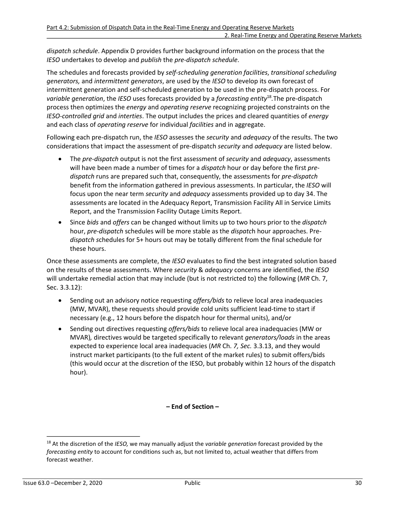*dispatch schedule*. Appendix D provides further background information on the process that the *IESO* undertakes to develop and *publish* the *pre-dispatch schedule*.

The schedules and forecasts provided by *self-scheduling generation facilities*, *transitional scheduling generators,* and *intermittent generators*, are used by the *IESO* to develop its own forecast of intermittent generation and self-scheduled generation to be used in the pre-dispatch process. For *variable generation*, the *IESO* uses forecasts provided by a *forecasting entity*[18](#page-36-0) *.*The pre-dispatch process then optimizes the *energy* and *operating reserve* recognizing projected constraints on the *IESO*-*controlled grid* and *interties*. The output includes the prices and cleared quantities of *energy* and each class of *operating reserve* for individual *facilities* and in aggregate.

Following each pre-dispatch run, the *IESO* assesses the *security* and *adequacy* of the results. The two considerations that impact the assessment of pre-dispatch *security* and *adequacy* are listed below.

- <span id="page-36-1"></span>• The *pre-dispatch* output is not the first assessment of *security* and *adequacy*, assessments will have been made a number of times for a *dispatch* hour or day before the first *predispatch* runs are prepared such that, consequently, the assessments for *pre-dispatch* benefit from the information gathered in previous assessments. In particular, the *IESO* will focus upon the near term *security* and *adequacy* assessments provided up to day 34. The assessments are located in the Adequacy Report, Transmission Facility All in Service Limits Report, and the Transmission Facility Outage Limits Report.
- Since *bids* and *offers* can be changed without limits up to two hours prior to the *dispatch* hour, *pre-dispatch* schedules will be more stable as the *dispatc*h hour approaches. Pre*dispatch s*chedules for 5+ hours out may be totally different from the final schedule for these hours.

Once these assessments are complete, the *IESO* evaluates to find the best integrated solution based on the results of these assessments. Where *security* & *adequacy* concerns are identified, the *IESO* will undertake remedial action that may include (but is not restricted to) the following (*MR* Ch. 7, Sec. 3.3.12):

- Sending out an advisory notice requesting *offers/bids* to relieve local area inadequacies (MW, MVAR), these requests should provide cold units sufficient lead-time to start if necessary (e.g., 12 hours before the dispatch hour for thermal units), and/or
- Sending out directives requesting *offers/bids* to relieve local area inadequacies (MW or MVAR)*,* directives would be targeted specifically to relevant *generators/loads* in the areas expected to experience local area inadequacies (*MR* Ch. *7, Sec.* 3.3.13, and they would instruct market participants (to the full extent of the market rules) to submit offers/bids (this would occur at the discretion of the IESO, but probably within 12 hours of the dispatch hour).

**– End of Section –**

<span id="page-36-0"></span>[<sup>18</sup>](#page-36-1) At the discretion of the *IESO,* we may manually adjust the *variable generation* forecast provided by the *forecasting entity* to account for conditions such as, but not limited to, actual weather that differs from forecast weather.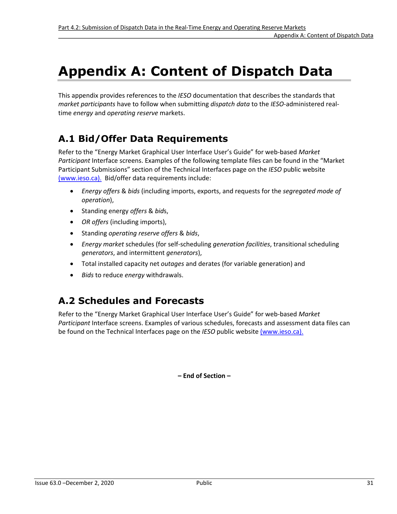# <span id="page-37-0"></span>**Appendix A: Content of Dispatch Data**

This appendix provides references to the *IESO* documentation that describes the standards that *market participants* have to follow when submitting *dispatch data* to the *IESO*-administered realtime *energy* and *operating reserve* markets.

# **A.1 Bid/Offer Data Requirements**

Refer to the "Energy Market Graphical User Interface User's Guide" for web-based *Market Participant* Interface screens. Examples of the following template files can be found in the "Market Participant Submissions" section of the Technical Interfaces page on the *IESO* public website [\(www.ieso.ca\)](http://www.ieso.ca/)[.](http://www.ieso.ca/) Bid/offer data requirements include:

- *Energy offers* & *bids* (including imports, exports, and requests for the *segregated mode of operation*),
- Standing energy *offers* & *bid*s,
- *OR offers* (including imports),
- Standing *operating reserve offers* & *bids*,
- *Energy market* schedules (for self-scheduling *generation facilities*, transitional scheduling *generators*, and intermittent *generators*),
- Total installed capacity net *outages* and derates (for variable generation) and
- *Bids* to reduce *energy* withdrawals.

# **A.2 Schedules and Forecasts**

Refer to the "Energy Market Graphical User Interface User's Guide" for web-based *Market Participant* Interface screens. Examples of various schedules, forecasts and assessment data files can be found on the Technical Interfaces page on the *IESO* public websit[e \(www.ieso.ca\)](http://www.ieso.ca/)[.](http://www.ieso.ca/)

**– End of Section –**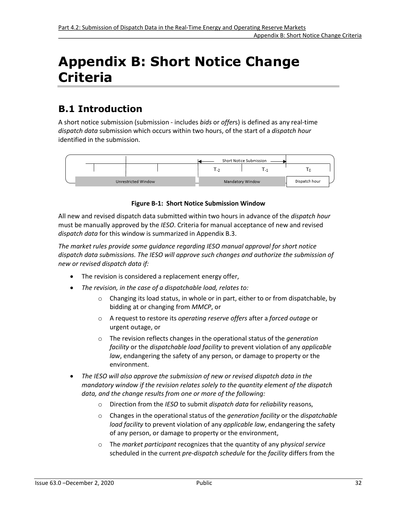# <span id="page-38-0"></span>**Appendix B: Short Notice Change Criteria**

# **B.1 Introduction**

A short notice submission (submission - includes *bids* or *offer*s) is defined as any real-time *dispatch data* submission which occurs within two hours, of the start of a *dispatch hour* identified in the submission.



#### **Figure B-1: Short Notice Submission Window**

<span id="page-38-1"></span>All new and revised dispatch data submitted within two hours in advance of the *dispatch hour* must be manually approved by the *IESO*. Criteria for manual acceptance of new and revised *dispatch data* for this window is summarized in Appendix B.3.

*The market rules provide some guidance regarding IESO manual approval for short notice dispatch data submissions. The IESO will approve such changes and authorize the submission of new or revised dispatch data if:* 

- The revision is considered a replacement energy offer,
- *The revision, in the case of a dispatchable load, relates to:*
	- $\circ$  Changing its load status, in whole or in part, either to or from dispatchable, by bidding at or changing from *MMCP*, or
	- o A request to restore its *operating reserve offers* after a *forced outage* or urgent outage, or
	- o The revision reflects changes in the operational status of the *generation facility* or the *dispatchable load facility* to prevent violation of any *applicable law*, endangering the safety of any person, or damage to property or the environment.
- *The IESO will also approve the submission of new or revised dispatch data in the mandatory window if the revision relates solely to the quantity element of the dispatch data, and the change results from one or more of the following:*
	- o Direction from the *IESO* to submit *dispatch data* for *reliability* reasons,
	- o Changes in the operational status of the *generation facility* or the *dispatchable load facility* to prevent violation of any *applicable law*, endangering the safety of any person, or damage to property or the environment,
	- o The *market participant* recognizes that the quantity of any p*hysical service* scheduled in the current *pre-dispatch schedule* for the *facility* differs from the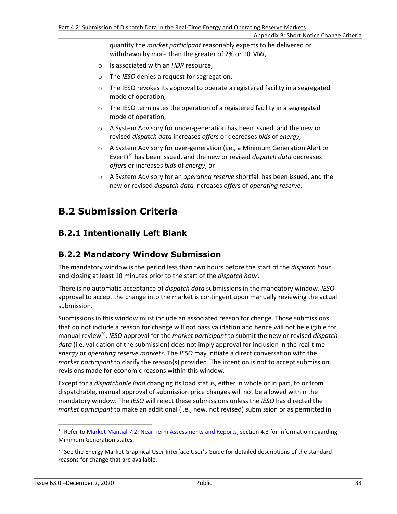quantity the *market participant* reasonably expects to be delivered or withdrawn by more than the greater of 2% or 10 MW,

- o Is associated with an *HDR* resource,
- o The *IESO* denies a request for segregation,
- o The IESO revokes its approval to operate a registered facility in a segregated mode of operation,
- o The IESO terminates the operation of a registered facility in a segregated mode of operation,
- o A System Advisory for under-generation has been issued, and the new or revised *dispatch data* increases *offer*s or decreases *bids* of *energy*,
- <span id="page-39-2"></span>o A System Advisory for over-generation (i.e., a Minimum Generation Alert or Event)[19](#page-39-0) has been issued, and the new or revised *dispatch data* decreases *offer*s or increases *bids* of *energy*, or
- o A System Advisory for an *operating reserve* shortfall has been issued, and the new or revised *dispatch data* increases *offer*s of *operating reserve*.

# **B.2 Submission Criteria**

### **B.2.1 Intentionally Left Blank**

### **B.2.2 Mandatory Window Submission**

The mandatory window is the period less than two hours before the start of the *dispatch hour*  and closing at least 10 minutes prior to the start of the *dispatch hour*.

There is no automatic acceptance of *dispatch data* submissions in the mandatory window. *IESO* approval to accept the change into the market is contingent upon manually reviewing the actual submission.

<span id="page-39-3"></span>Submissions in this window must include an associated reason for change. Those submissions that do not include a reason for change will not pass validation and hence will not be eligible for manual review<sup>[20](#page-39-1)</sup>. IESO approval for the *market participant* to submit the new or revised *dispatch data* (i.e. validation of the submission) does not imply approval for inclusion in the real-time *energy* or *operating reserve markets*. The *IESO* may initiate a direct conversation with the *market participant* to clarify the reason(s) provided. The intention is not to accept submission revisions made for economic reasons within this window.

Except for a *dispatchable load* changing its load status, either in whole or in part, to or from dispatchable, manual approval of submission price changes will not be allowed within the mandatory window. The *IESO* will reject these submissions unless the *IESO* has directed the *market participant* to make an additional (i.e., new, not revised) submission or as permitted in

<span id="page-39-0"></span><sup>&</sup>lt;sup>[19](#page-39-2)</sup> Refer to [Market Manual 7.2: Near Term Assessments and Reports,](http://www.ieso.ca/-/media/files/ieso/document-library/market-rules-and-manuals-library/market-manuals/system-operations/so-neartermassessreport.pdf) section 4.3 for information regarding Minimum Generation states.

<span id="page-39-1"></span><sup>&</sup>lt;sup>[20](#page-39-3)</sup> See the Energy Market Graphical User Interface User's Guide for detailed descriptions of the standard reasons for change that are available.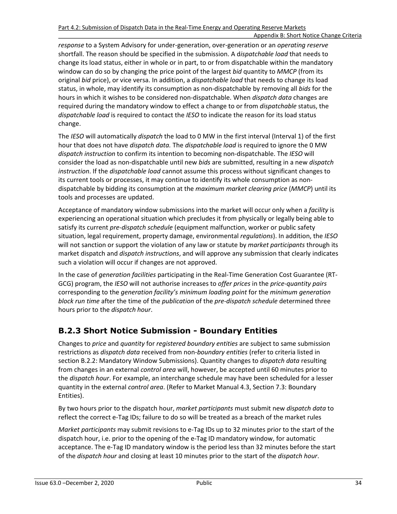*response* to a System Advisory for under-generation, over-generation or an *operating reserve* shortfall. The reason should be specified in the submission. A d*ispatchable load* that needs to change its load status, either in whole or in part, to or from dispatchable within the mandatory window can do so by changing the price point of the largest *bid* quantity to *MMCP* (from its original *bid* price), or vice versa. In addition, a *dispatchable load* that needs to change its load status, in whole, may identify its consumption as non-dispatchable by removing all *bids* for the hours in which it wishes to be considered non-dispatchable. When *dispatch data* changes are required during the mandatory window to effect a change to or from *dispatchable* status, the *dispatchable load* is required to contact the *IESO* to indicate the reason for its load status change.

The *IESO* will automatically *dispatch* the load to 0 MW in the first interval (Interval 1) of the first hour that does not have *dispatch data.* The *dispatchable load* is required to ignore the 0 MW *dispatch instruction* to confirm its intention to becoming non-dispatchable. The *IESO* will consider the load as non-dispatchable until new *bids* are submitted, resulting in a new *dispatch instruction*. If the *dispatchable load* cannot assume this process without significant changes to its current tools or processes, it may continue to identify its whole consumption as nondispatchable by bidding its consumption at the *maximum market clearing price* (*MMCP*) until its tools and processes are updated.

Acceptance of mandatory window submissions into the market will occur only when a *facility* is experiencing an operational situation which precludes it from physically or legally being able to satisfy its current *pre-dispatch schedule* (equipment malfunction, worker or public safety situation, legal requirement, property damage, environmental *regulations*). In addition, the *IESO* will not sanction or support the violation of any law or statute by *market participants* through its market dispatch and *dispatch instructions*, and will approve any submission that clearly indicates such a violation will occur if changes are not approved.

In the case of *generation facilities* participating in the Real-Time Generation Cost Guarantee (RT-GCG) program, the *IESO* will not authorise increases to *offer prices* in the *price-quantity pairs* corresponding to the *generation facility's minimum loading point* for the *minimum generation block run time* after the time of the *publication* of the *pre-dispatch schedule* determined three hours prior to the *dispatch hour*.

### **B.2.3 Short Notice Submission - Boundary Entities**

Changes to *price* and *quantity* for *registered boundary entities* are subject to same submission restrictions as *dispatch data* received from non-*boundary entities* (refer to criteria listed in section B.2.2: Mandatory Window Submissions). Quantity changes to *dispatch data* resulting from changes in an external *control area* will, however, be accepted until 60 minutes prior to the *dispatch hour*. For example, an interchange schedule may have been scheduled for a lesser quantity in the external *control area*. (Refer to Market Manual 4.3, Section 7.3: Boundary Entities).

By two hours prior to the dispatch hour, *market participants* must submit new *dispatch data* to reflect the correct e-Tag IDs; failure to do so will be treated as a breach of the market rules

*Market participants* may submit revisions to e-Tag IDs up to 32 minutes prior to the start of the dispatch hour, i.e. prior to the opening of the e-Tag ID mandatory window, for automatic acceptance. The e-Tag ID mandatory window is the period less than 32 minutes before the start of the *dispatch hour* and closing at least 10 minutes prior to the start of the *dispatch hour*.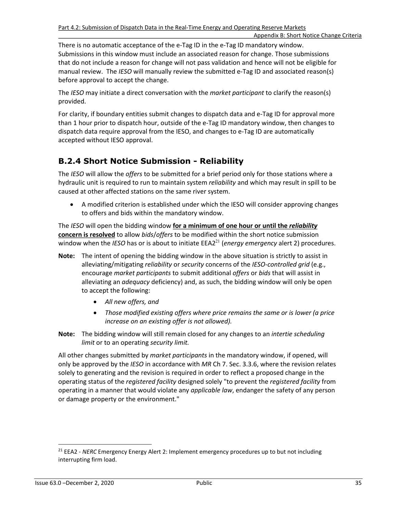There is no automatic acceptance of the e-Tag ID in the e-Tag ID mandatory window. Submissions in this window must include an associated reason for change. Those submissions that do not include a reason for change will not pass validation and hence will not be eligible for manual review. The *IESO* will manually review the submitted e-Tag ID and associated reason(s) before approval to accept the change.

The *IESO* may initiate a direct conversation with the *market participant* to clarify the reason(s) provided.

For clarity, if boundary entities submit changes to dispatch data and e-Tag ID for approval more than 1 hour prior to dispatch hour, outside of the e-Tag ID mandatory window, then changes to dispatch data require approval from the IESO, and changes to e-Tag ID are automatically accepted without IESO approval.

### **B.2.4 Short Notice Submission - Reliability**

The *IESO* will allow the *offers* to be submitted for a brief period only for those stations where a hydraulic unit is required to run to maintain system *reliability* and which may result in spill to be caused at other affected stations on the same river system.

<span id="page-41-1"></span>• A modified criterion is established under which the IESO will consider approving changes to offers and bids within the mandatory window.

The *IESO* will open the bidding window **for a minimum of one hour or until the** *reliability* **concern is resolved** to allow *bids*/*offers* to be modified within the short notice submission window when the *IESO* has or is about to initiate EEA2<sup>[21](#page-41-0)</sup> (*energy emergency* alert 2) procedures.

- **Note:** The intent of opening the bidding window in the above situation is strictly to assist in alleviating/mitigating *reliability* or *security* concerns of the *IESO-controlled grid* (e.g., encourage *market participants* to submit additional *offers* or *bids* that will assist in alleviating an *adequacy* deficiency) and, as such, the bidding window will only be open to accept the following:
	- *All new offers, and*
	- *Those modified existing offers where price remains the same or is lower (a price increase on an existing offer is not allowed).*
- **Note:** The bidding window will still remain closed for any changes to an *intertie scheduling limit* or to an operating *security limit.*

All other changes submitted by *market participants* in the mandatory window, if opened, will only be approved by the *IESO* in accordance with *MR* Ch 7. Sec. 3.3.6, where the revision relates solely to generating and the revision is required in order to reflect a proposed change in the operating status of the *registered facility* designed solely "to prevent the *registered facility* from operating in a manner that would violate any *applicable law*, endanger the safety of any person or damage property or the environment."

<span id="page-41-0"></span>[<sup>21</sup>](#page-41-1) EEA2 - *NERC* Emergency Energy Alert 2: Implement emergency procedures up to but not including interrupting firm load.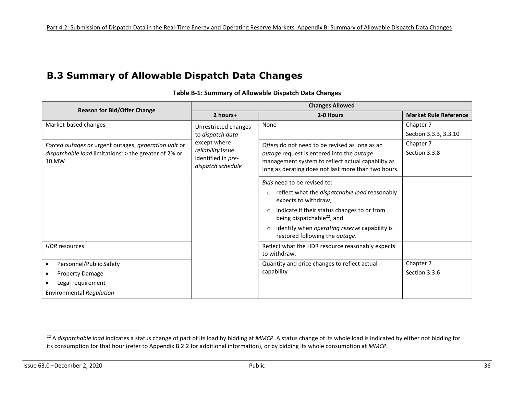# **B.3 Summary of Allowable Dispatch Data Changes**

<span id="page-42-0"></span>

| <b>Reason for Bid/Offer Change</b>                    | <b>Changes Allowed</b>                  |                                                                                                  |                              |  |
|-------------------------------------------------------|-----------------------------------------|--------------------------------------------------------------------------------------------------|------------------------------|--|
|                                                       | 2 hours+                                | 2-0 Hours                                                                                        | <b>Market Rule Reference</b> |  |
| Market-based changes                                  | Unrestricted changes                    | None                                                                                             | Chapter 7                    |  |
|                                                       | to dispatch data                        |                                                                                                  | Section 3.3.3, 3.3.10        |  |
| Forced outages or urgent outages, generation unit or  | except where                            | Offers do not need to be revised as long as an                                                   | Chapter 7                    |  |
| dispatchable load limitations: > the greater of 2% or | reliability issue                       | outage request is entered into the outage                                                        | Section 3.3.8                |  |
| 10 MW                                                 | identified in pre-<br>dispatch schedule | management system to reflect actual capability as                                                |                              |  |
|                                                       |                                         | long as derating does not last more than two hours.                                              |                              |  |
|                                                       |                                         | Bids need to be revised to:                                                                      |                              |  |
|                                                       |                                         | reflect what the dispatchable load reasonably<br>$\circ$                                         |                              |  |
|                                                       |                                         | expects to withdraw,                                                                             |                              |  |
|                                                       |                                         | indicate if their status changes to or from<br>$\circ$<br>being dispatchable <sup>22</sup> , and |                              |  |
|                                                       |                                         | identify when operating reserve capability is<br>$\circ$<br>restored following the outage.       |                              |  |
| <b>HDR</b> resources                                  |                                         | Reflect what the HDR resource reasonably expects                                                 |                              |  |
|                                                       |                                         | to withdraw.                                                                                     |                              |  |
| Personnel/Public Safety                               |                                         | Quantity and price changes to reflect actual                                                     | Chapter 7                    |  |
| <b>Property Damage</b>                                |                                         | capability                                                                                       | Section 3.3.6                |  |
| Legal requirement                                     |                                         |                                                                                                  |                              |  |
| <b>Environmental Regulation</b>                       |                                         |                                                                                                  |                              |  |

<span id="page-42-2"></span>**Table B-1: Summary of Allowable Dispatch Data Changes** 

<span id="page-42-1"></span><sup>&</sup>lt;sup>[22](#page-42-2)</sup> A *dispatchable load* indicates a status change of part of its load by bidding at *MMCP*. A status change of its whole load is indicated by either not bidding for its consumption for that hour (refer to Appendix B.2.2 for additional information), or by bidding its whole consumption at *MMCP*.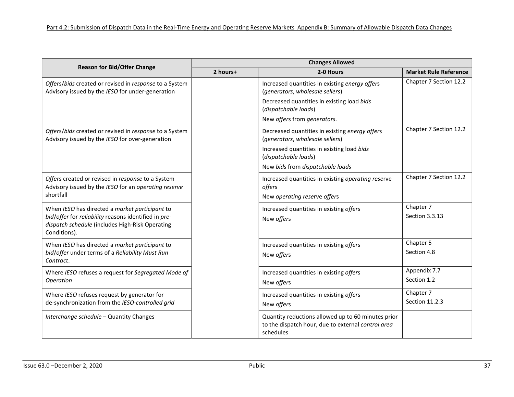|                                                                                                                                                                           | <b>Changes Allowed</b> |                                                                                                                                                                                             |                              |  |  |
|---------------------------------------------------------------------------------------------------------------------------------------------------------------------------|------------------------|---------------------------------------------------------------------------------------------------------------------------------------------------------------------------------------------|------------------------------|--|--|
| <b>Reason for Bid/Offer Change</b>                                                                                                                                        | 2 hours+               | 2-0 Hours                                                                                                                                                                                   | <b>Market Rule Reference</b> |  |  |
| Offers/bids created or revised in response to a System<br>Advisory issued by the IESO for under-generation                                                                |                        | Increased quantities in existing energy offers<br>(generators, wholesale sellers)<br>Decreased quantities in existing load bids<br>(dispatchable loads)<br>New offers from generators.      | Chapter 7 Section 12.2       |  |  |
| Offers/bids created or revised in response to a System<br>Advisory issued by the IESO for over-generation                                                                 |                        | Decreased quantities in existing energy offers<br>(generators, wholesale sellers)<br>Increased quantities in existing load bids<br>(dispatchable loads)<br>New bids from dispatchable loads | Chapter 7 Section 12.2       |  |  |
| Offers created or revised in response to a System<br>Advisory issued by the IESO for an operating reserve<br>shortfall                                                    |                        | Increased quantities in existing operating reserve<br>offers<br>New operating reserve offers                                                                                                | Chapter 7 Section 12.2       |  |  |
| When IESO has directed a market participant to<br>bid/offer for reliability reasons identified in pre-<br>dispatch schedule (includes High-Risk Operating<br>Conditions). |                        | Increased quantities in existing offers<br>New offers                                                                                                                                       | Chapter 7<br>Section 3.3.13  |  |  |
| When IESO has directed a market participant to<br>bid/offer under terms of a Reliability Must Run<br>Contract.                                                            |                        | Increased quantities in existing offers<br>New offers                                                                                                                                       | Chapter 5<br>Section 4.8     |  |  |
| Where IESO refuses a request for Segregated Mode of<br>Operation                                                                                                          |                        | Increased quantities in existing offers<br>New offers                                                                                                                                       | Appendix 7.7<br>Section 1.2  |  |  |
| Where IESO refuses request by generator for<br>de-synchronization from the IESO-controlled grid                                                                           |                        | Increased quantities in existing offers<br>New offers                                                                                                                                       | Chapter 7<br>Section 11.2.3  |  |  |
| Interchange schedule - Quantity Changes                                                                                                                                   |                        | Quantity reductions allowed up to 60 minutes prior<br>to the dispatch hour, due to external control area<br>schedules                                                                       |                              |  |  |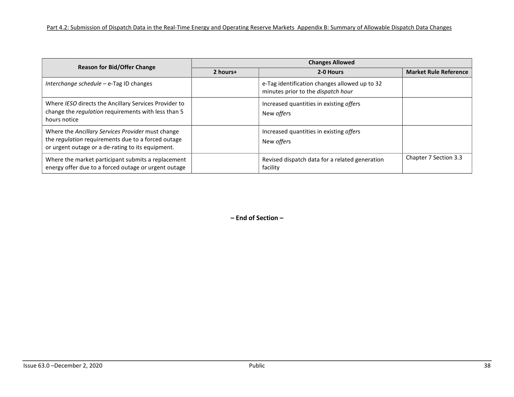| <b>Reason for Bid/Offer Change</b>                                                                                                                           | <b>Changes Allowed</b> |                                                                                     |                              |  |  |  |
|--------------------------------------------------------------------------------------------------------------------------------------------------------------|------------------------|-------------------------------------------------------------------------------------|------------------------------|--|--|--|
|                                                                                                                                                              | 2 hours+               | 2-0 Hours                                                                           | <b>Market Rule Reference</b> |  |  |  |
| Interchange schedule $-$ e-Tag ID changes                                                                                                                    |                        | e-Tag identification changes allowed up to 32<br>minutes prior to the dispatch hour |                              |  |  |  |
| Where IESO directs the Ancillary Services Provider to<br>change the regulation requirements with less than 5<br>hours notice                                 |                        | Increased quantities in existing offers<br>New <i>offers</i>                        |                              |  |  |  |
| Where the Ancillary Services Provider must change<br>the regulation requirements due to a forced outage<br>or urgent outage or a de-rating to its equipment. |                        | Increased quantities in existing offers<br>New <i>offers</i>                        |                              |  |  |  |
| Where the market participant submits a replacement<br>energy offer due to a forced outage or urgent outage                                                   |                        | Revised dispatch data for a related generation<br>facility                          | Chapter 7 Section 3.3        |  |  |  |

**– End of Section –**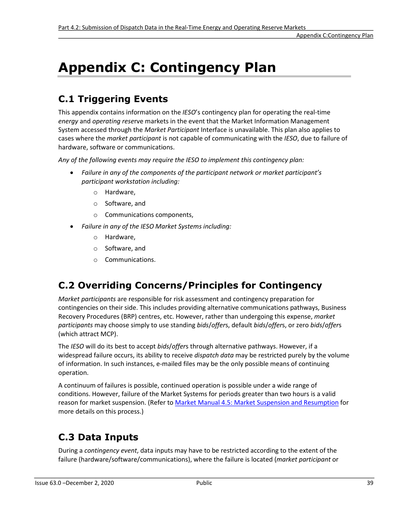# <span id="page-45-0"></span>**Appendix C: Contingency Plan**

# **C.1 Triggering Events**

This appendix contains information on the *IESO*'s contingency plan for operating the real-time *energy* and *operating rese*rve markets in the event that the Market Information Management System accessed through the *Market Participant* Interface is unavailable. This plan also applies to cases where the *market participant* is not capable of communicating with the *IESO*, due to failure of hardware, software or communications.

*Any of the following events may require the IESO to implement this contingency plan:* 

- *Failure in any of the components of the participant network or market participant's participant workstation including:*
	- o Hardware,
	- o Software, and
	- o Communications components,
- *Failure in any of the IESO Market Systems including:*
	- o Hardware,
	- o Software, and
	- o Communications.

### **C.2 Overriding Concerns/Principles for Contingency**

*Market participants* are responsible for risk assessment and contingency preparation for contingencies on their side. This includes providing alternative communications pathways, Business Recovery Procedures (BRP) centres, etc. However, rather than undergoing this expense, *market participants* may choose simply to use standing *bids*/*offer*s, default *bids*/*offer*s, or zero *bids*/*offer*s (which attract MCP).

The *IESO* will do its best to accept *bids*/*offer*s through alternative pathways. However, if a widespread failure occurs, its ability to receive *dispatch data* may be restricted purely by the volume of information. In such instances, e-mailed files may be the only possible means of continuing operation.

A continuum of failures is possible, continued operation is possible under a wide range of conditions. However, failure of the Market Systems for periods greater than two hours is a valid reason for market suspension. (Refer to [Market Manual 4.5: Market Suspension and Resumption](http://www.ieso.ca/-/media/files/ieso/document-library/market-rules-and-manuals-library/market-manuals/market-operations/mo-mktsuspresum.pdf) for more details on this process.)

# **C.3 Data Inputs**

During a *contingency event*, data inputs may have to be restricted according to the extent of the failure (hardware/software/communications), where the failure is located (*market participant* or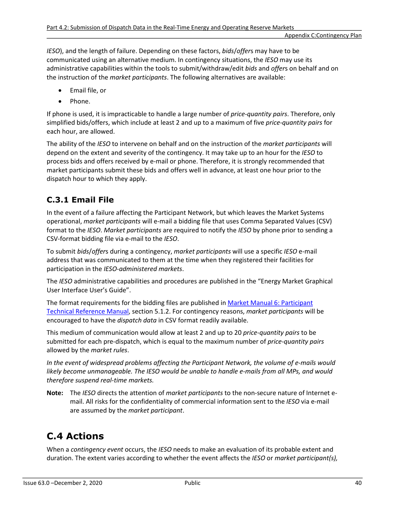*IESO*), and the length of failure. Depending on these factors, *bids*/*offer*s may have to be communicated using an alternative medium. In contingency situations, the *IESO* may use its administrative capabilities within the tools to submit/withdraw/edit *bids* and *offer*s on behalf and on the instruction of the *market participants*. The following alternatives are available:

- Email file, or
- Phone.

If phone is used, it is impracticable to handle a large number of *price-quantity pairs*. Therefore, only simplified bids/offers, which include at least 2 and up to a maximum of five *price-quantity pairs* for each hour, are allowed.

The ability of the *IESO* to intervene on behalf and on the instruction of the *market participants* will depend on the extent and severity of the contingency. It may take up to an hour for the *IESO* to process bids and offers received by e-mail or phone. Therefore, it is strongly recommended that market participants submit these bids and offers well in advance, at least one hour prior to the dispatch hour to which they apply.

### **C.3.1 Email File**

In the event of a failure affecting the Participant Network, but which leaves the Market Systems operational, *market participants* will e-mail a bidding file that uses Comma Separated Values (CSV) format to the *IESO*. *Market participants* are required to notify the *IESO* by phone prior to sending a CSV-format bidding file via e-mail to the *IESO*.

To submit *bids*/*offer*s during a contingency, *market participants* will use a specific *IESO* e-mail address that was communicated to them at the time when they registered their facilities for participation in the *IESO*-*administered markets*.

The *IESO* administrative capabilities and procedures are published in the "Energy Market Graphical User Interface User's Guide".

The format requirements for the bidding files are published in **Market Manual 6: Participant** [Technical Reference Manual,](http://www.ieso.ca/-/media/files/ieso/document-library/market-rules-and-manuals-library/market-manuals/technical-reference/ptrm-ptrmmanual.pdf) section 5.1.2. For contingency reasons, *market participants* will be encouraged to have the *dispatch data* in CSV format readily available.

This medium of communication would allow at least 2 and up to 20 *price-quantity pairs* to be submitted for each pre-dispatch, which is equal to the maximum number of *price-quantity pairs* allowed by the *market rules*.

*In the event of widespread problems affecting the Participant Network, the volume of e-mails would likely become unmanageable. The IESO would be unable to handle e-mails from all MPs, and would therefore suspend real-time markets.* 

**Note:** The *IESO* directs the attention of *market participants* to the non-secure nature of Internet email. All risks for the confidentiality of commercial information sent to the *IESO* via e-mail are assumed by the *market participant*.

# **C.4 Actions**

When a *contingency event* occurs, the *IESO* needs to make an evaluation of its probable extent and duration. The extent varies according to whether the event affects the *IESO* or *market participant(s),*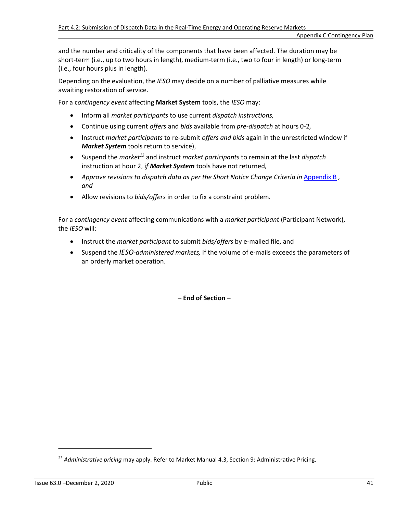and the number and criticality of the components that have been affected. The duration may be short-term (i.e., up to two hours in length), medium-term (i.e., two to four in length) or long-term (i.e., four hours plus in length).

Depending on the evaluation, the *IESO* may decide on a number of palliative measures while awaiting restoration of service.

For a c*ontingency event* affecting **Market System** tools, the *IESO* may:

- Inform all *market participants* to use current *dispatch instructions,*
- Continue using current *offers* and *bids* available from *pre-dispatch* at hours 0-2*,*
- Instruct *market participants* to re-submit *offers and bids* again in the unrestricted window if *Market System* tools return to service),
- <span id="page-47-1"></span>• Suspend the *market[23](#page-47-0)* and instruct *market participants* to remain at the last *dispatch* instruction at hour 2, i*f Market System* tools have not returned*,*
- **•** Approve revisions to dispatch data as per the Short Notice Change Criteria in [Appendix B](#page-38-0), *and*
- Allow revisions to *bids/offers* in order to fix a constraint problem*.*

For a *contingency event* affecting communications with a *market participant* (Participant Network), the *IESO* will:

- Instruct the *market participant* to submit *bids/offers* by e-mailed file, and
- Suspend the *IESO-administered markets,* if the volume of e-mails exceeds the parameters of an orderly market operation.

**– End of Section –**

<span id="page-47-0"></span>[<sup>23</sup>](#page-47-1) *Administrative pricing* may apply. Refer to Market Manual 4.3, Section 9: Administrative Pricing.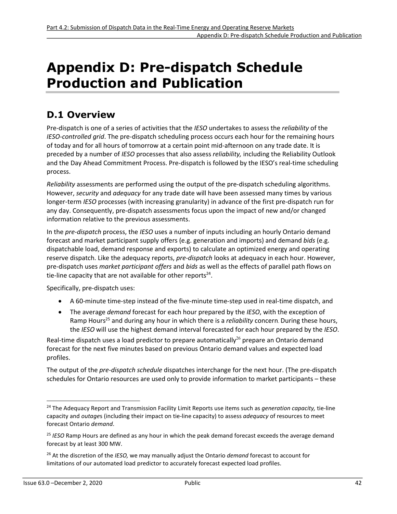# <span id="page-48-0"></span>**Appendix D: Pre-dispatch Schedule Production and Publication**

### **D.1 Overview**

Pre-dispatch is one of a series of activities that the *IESO* undertakes to assess the *reliability* of the *IESO*-*controlled grid*. The pre-dispatch scheduling process occurs each hour for the remaining hours of today and for all hours of tomorrow at a certain point mid-afternoon on any trade date. It is preceded by a number of *IESO* processes that also assess *reliability,* including the Reliability Outlook and the Day Ahead Commitment Process. Pre-dispatch is followed by the IESO's real-time scheduling process.

*Reliability* assessments are performed using the output of the pre-dispatch scheduling algorithms. However, *security* and *adequacy* for any trade date will have been assessed many times by various longer-term *IESO* processes (with increasing granularity) in advance of the first pre-dispatch run for any day. Consequently, pre-dispatch assessments focus upon the impact of new and/or changed information relative to the previous assessments.

In the *pre-dispatch* process, the *IESO* uses a number of inputs including an hourly Ontario demand forecast and market participant supply offers (e.g. generation and imports) and demand *bids* (e.g. dispatchable load, demand response and exports) to calculate an optimized energy and operating reserve dispatch. Like the adequacy reports, *pre-dispatch* looks at adequacy in each hour. However, pre-dispatch uses *market participant offers* and *bids* as well as the effects of parallel path flows on tie-line capacity that are not available for other reports<sup>[24](#page-48-1)</sup>.

Specifically, pre-dispatch uses:

- <span id="page-48-4"></span>• A 60-minute time-step instead of the five-minute time-step used in real-time dispatch, and
- <span id="page-48-6"></span><span id="page-48-5"></span>• The average *demand* forecast for each hour prepared by the *IESO*, with the exception of Ramp Hours<sup>[25](#page-48-2)</sup> and during any hour in which there is a *reliability* concern. During these hours, the *IESO* will use the highest demand interval forecasted for each hour prepared by the *IESO*.

Real-time dispatch uses a load predictor to prepare automatically<sup>[26](#page-48-3)</sup> prepare an Ontario demand forecast for the next five minutes based on previous Ontario demand values and expected load profiles.

The output of the *pre-dispatch schedule* dispatches interchange for the next hour. (The pre-dispatch schedules for Ontario resources are used only to provide information to market participants – these

<span id="page-48-1"></span>[<sup>24</sup>](#page-48-4) The Adequacy Report and Transmission Facility Limit Reports use items such as *generation capacity,* tie-line capacity and *outage*s (including their impact on tie-line capacity) to assess *adequacy* of resources to meet forecast Ontario *demand*.

<span id="page-48-2"></span>[<sup>25</sup>](#page-48-5) *IESO* Ramp Hours are defined as any hour in which the peak demand forecast exceeds the average demand forecast by at least 300 MW.

<span id="page-48-3"></span>[<sup>26</sup>](#page-48-6) At the discretion of the *IESO,* we may manually adjust the Ontario *demand* forecast to account for limitations of our automated load predictor to accurately forecast expected load profiles.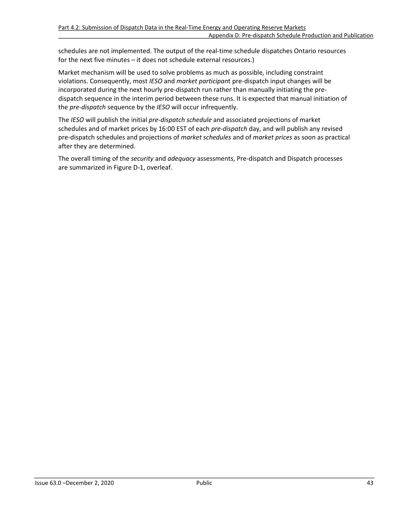schedules are not implemented. The output of the real-time schedule dispatches Ontario resources for the next five minutes – it does not schedule external resources.)

Market mechanism will be used to solve problems as much as possible, including constraint violations. Consequently, most *IESO* and *market participan*t pre-dispatch input changes will be incorporated during the next hourly pre-dispatch run rather than manually initiating the predispatch sequence in the interim period between these runs. It is expected that manual initiation of the *pre-dispatch* sequence by the *IESO* will occur infrequently.

The *IESO* will publish the initial *pre-dispatch schedule* and associated projections of market schedules and of market prices by 16:00 EST of each *pre-dispatch* day, and will publish any revised pre-dispatch schedules and projections of *market schedules* and of *market prices* as soon as practical after they are determined.

The overall timing of the *security* and *adequacy* assessments, Pre-dispatch and Dispatch processes are summarized in Figure D-1, overleaf.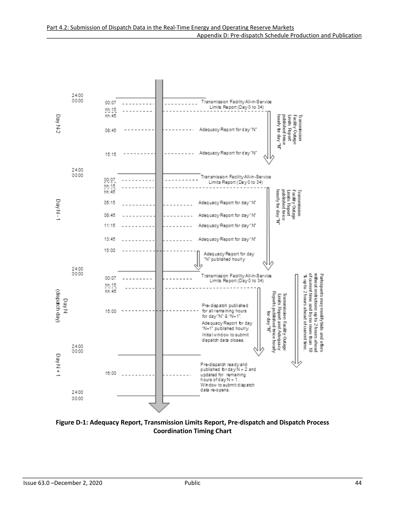

<span id="page-50-0"></span>**Figure D-1: Adequacy Report, Transmission Limits Report, Pre-dispatch and Dispatch Process Coordination Timing Chart**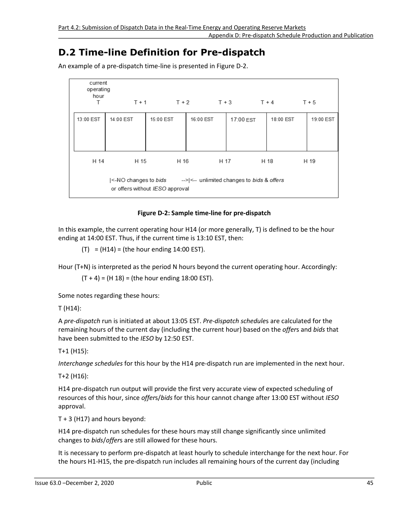Appendix D: Pre-dispatch Schedule Production and Publication

### **D.2 Time-line Definition for Pre-dispatch**

<span id="page-51-0"></span>

| current<br>operating<br>hour<br>T |           |                                         |           | $T+1$ $T+2$ $T+3$ $T+4$                                                             |           | $T + 5$   |
|-----------------------------------|-----------|-----------------------------------------|-----------|-------------------------------------------------------------------------------------|-----------|-----------|
| 13:00 EST                         | 14:00 EST | 15:00 EST                               | 16:00 EST | 17:00 EST                                                                           | 18:00 EST | 19:00 EST |
| H 14                              | H 15      | H 16<br>or offers without IESO approval |           | H 17<br>$\leq$ -NO changes to bids $\leq$ -> <-- unlimited changes to bids & offers | H 18      | H 19      |

An example of a pre-dispatch time-line is presented in Figure D-2.

#### **Figure D-2: Sample time-line for pre-dispatch**

In this example, the current operating hour H14 (or more generally, T) is defined to be the hour ending at 14:00 EST. Thus, if the current time is 13:10 EST, then:

 $(T) = (H14) = (the hour ending 14:00 EST).$ 

Hour (T+N) is interpreted as the period N hours beyond the current operating hour. Accordingly:

 $(T + 4) = (H 18) = (the hour ending 18:00 EST).$ 

Some notes regarding these hours:

T (H14):

A *pre-dispatch* run is initiated at about 13:05 EST. *Pre-dispatch schedule*s are calculated for the remaining hours of the current day (including the current hour) based on the *offer*s and *bids* that have been submitted to the *IESO* by 12:50 EST.

T+1 (H15):

*Interchange schedules* for this hour by the H14 pre-dispatch run are implemented in the next hour.

T+2 (H16):

H14 pre-dispatch run output will provide the first very accurate view of expected scheduling of resources of this hour, since *offer*s/*bids* for this hour cannot change after 13:00 EST without *IESO* approval.

T + 3 (H17) and hours beyond:

H14 pre-dispatch run schedules for these hours may still change significantly since unlimited changes to *bids*/*offer*s are still allowed for these hours.

It is necessary to perform pre-dispatch at least hourly to schedule interchange for the next hour. For the hours H1-H15, the pre-dispatch run includes all remaining hours of the current day (including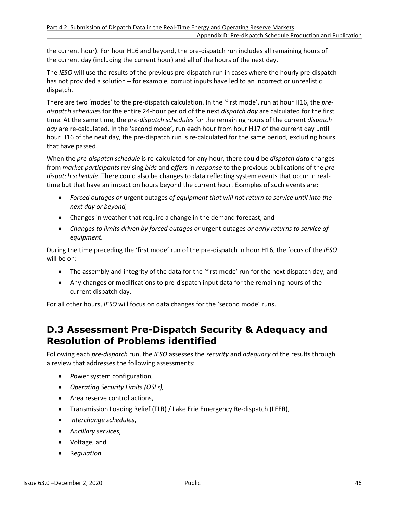the current hour). For hour H16 and beyond, the pre-dispatch run includes all remaining hours of the current day (including the current hour) and all of the hours of the next day.

The *IESO* will use the results of the previous pre-dispatch run in cases where the hourly pre-dispatch has not provided a solution – for example, corrupt inputs have led to an incorrect or unrealistic dispatch.

There are two 'modes' to the pre-dispatch calculation. In the 'first mode', run at hour H16, the *predispatch schedule*s for the entire 24-hour period of the next *dispatch day* are calculated for the first time. At the same time, the *pre-dispatch schedule*s for the remaining hours of the current *dispatch day* are re-calculated. In the 'second mode', run each hour from hour H17 of the current day until hour H16 of the next day, the pre-dispatch run is re-calculated for the same period, excluding hours that have passed.

When the *pre-dispatch schedule* is re-calculated for any hour, there could be *dispatch data* changes from *market participants* revising *bids* and *offer*s in *response* to the previous publications of the *predispatch schedule*. There could also be changes to data reflecting system events that occur in realtime but that have an impact on hours beyond the current hour. Examples of such events are:

- *Forced outages or* urgent outages *of equipment that will not return to service until into the next day or beyond,*
- Changes in weather that require a change in the demand forecast, and
- *Changes to limits driven by forced outages or* urgent outages *or early returns to service of equipment.*

During the time preceding the 'first mode' run of the pre-dispatch in hour H16, the focus of the *IESO* will be on:

- The assembly and integrity of the data for the 'first mode' run for the next dispatch day, and
- Any changes or modifications to pre-dispatch input data for the remaining hours of the current dispatch day.

For all other hours, *IESO* will focus on data changes for the 'second mode' runs.

### **D.3 Assessment Pre-Dispatch Security & Adequacy and Resolution of Problems identified**

Following each *pre-dispatch* run, the *IESO* assesses the *security* and *adequacy* of the results through a review that addresses the following assessments:

- *P*ower system configuration,
- *Operating Security Limits (OSLs),*
- Area reserve control actions,
- Transmission Loading Relief (TLR) / Lake Erie Emergency Re-dispatch (LEER),
- I*nterchange schedules*,
- A*ncillary services*,
- Voltage, and
- R*egulation.*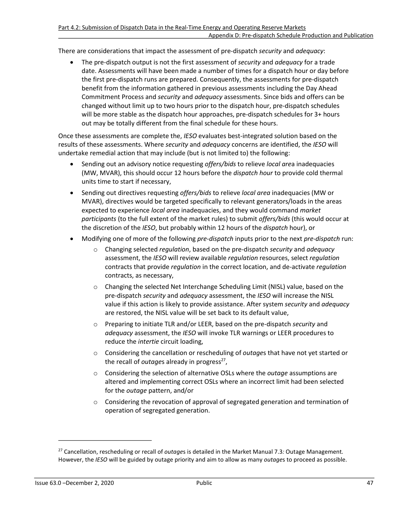There are considerations that impact the assessment of pre-dispatch *security* and *adequacy*:

• The pre-dispatch output is not the first assessment of *security* and *adequacy* for a trade date. Assessments will have been made a number of times for a dispatch hour or day before the first pre-dispatch runs are prepared. Consequently, the assessments for pre-dispatch benefit from the information gathered in previous assessments including the Day Ahead Commitment Process and *security* and *adequacy* assessments. Since bids and offers can be changed without limit up to two hours prior to the dispatch hour, pre-dispatch schedules will be more stable as the dispatch hour approaches, pre-dispatch schedules for 3+ hours out may be totally different from the final schedule for these hours.

Once these assessments are complete the, *IESO* evaluates best-integrated solution based on the results of these assessments. Where *security* and *adequacy* concerns are identified, the *IESO* will undertake remedial action that may include (but is not limited to) the following:

- Sending out an advisory notice requesting *offers/bids* to relieve *local are*a inadequacies (MW, MVAR), this should occur 12 hours before the *dispatch hour* to provide cold thermal units time to start if necessary,
- Sending out directives requesting *offers/bids* to relieve *local area* inadequacies (MW or MVAR), directives would be targeted specifically to relevant generators/loads in the areas expected to experience *local area* inadequacies, and they would command *market participants* (to the full extent of the market rules) to submit *offers/bids* (this would occur at the discretion of the *IESO*, but probably within 12 hours of the *dispatch* hour), or
- Modifying one of more of the following *pre-dispatch* inputs prior to the next *pre-dispatch* run:
	- o Changing selected *regulation*, based on the pre-dispatch *security* and *adequacy* assessment, the *IESO* will review available *regulation* resources, select *regulation* contracts that provide *regulation* in the correct location, and de-activate *regulation* contracts, as necessary,
	- o Changing the selected Net Interchange Scheduling Limit (NISL) value, based on the pre-dispatch *security* and *adequacy* assessment, the *IESO* will increase the NISL value if this action is likely to provide assistance. After system *security* and *adequacy* are restored, the NISL value will be set back to its default value,
	- o Preparing to initiate TLR and/or LEER, based on the pre-dispatch *security* and *adequacy* assessment, the *IESO* will invoke TLR warnings or LEER procedures to reduce the *intertie* circuit loading,
	- o Considering the cancellation or rescheduling of *outage*s that have not yet started or the recall of *outage*s already in progress<sup>[27](#page-53-0)</sup>,
	- o Considering the selection of alternative OSLs where the *outage* assumptions are altered and implementing correct OSLs where an incorrect limit had been selected for the *outage* pattern, and/or
	- o Considering the revocation of approval of segregated generation and termination of operation of segregated generation.

<span id="page-53-1"></span><span id="page-53-0"></span>[<sup>27</sup>](#page-53-1) Cancellation, rescheduling or recall of *outage*s is detailed in the Market Manual 7.3*:* Outage Management*.*  However, the *IESO* will be guided by outage priority and aim to allow as many *outage*s to proceed as possible.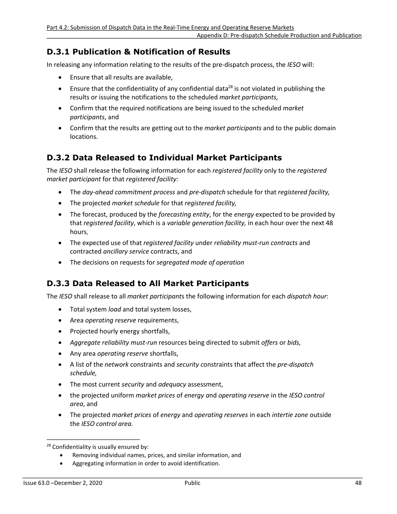### **D.3.1 Publication & Notification of Results**

In releasing any information relating to the results of the pre-dispatch process, the *IESO* will:

- Ensure that all results are available,
- <span id="page-54-1"></span>**•** Ensure that the confidentiality of any confidential data<sup>[28](#page-54-0)</sup> is not violated in publishing the results or issuing the notifications to the scheduled *market participants,*
- Confirm that the required notifications are being issued to the scheduled *market participants*, and
- Confirm that the results are getting out to the *market participants* and to the public domain locations.

### **D.3.2 Data Released to Individual Market Participants**

The *IESO* shall release the following information for each *registered facility* only to the *registered market participant* for that *registered facility*:

- The *day-ahead commitment process* and *pre-dispatch* schedule for that *registered facility,*
- The projected *market schedule* for that *registered facility,*
- The forecast, produced by the *forecasting entity*, for the *energy* expected to be provided by that *registered facility*, which is a *variable generation facility,* in each hour over the next 48 hours,
- The expected use of that *registered facility* under *reliability must-run contracts* and contracted *ancillary service* contracts, and
- The decisions on requests for *segregated mode of operation*

### **D.3.3 Data Released to All Market Participants**

The *IESO* shall release to all *market participant*s the following information for each *dispatch hour*:

- Total system *load* and total system losses,
- Area *operating reserve* requirements,
- Projected hourly energy shortfalls,
- *Aggregate reliability must-run* resources being directed to submit *offers* or *bids,*
- Any area *operating reserve* shortfalls,
- A list of the *network* constraints and *security c*onstraints that affect the *pre-dispatch schedule,*
- The most current *security* and *adequacy* assessment,
- the projected uniform *market prices* of *energy a*nd *operating reserve* in the *IESO control area*, and
- The projected *market prices* of *energy* and *operating reserves* in each *intertie zone* outside the *IESO control area.*

- Removing individual names, prices, and similar information, and
- Aggregating information in order to avoid identification.

<span id="page-54-0"></span><sup>&</sup>lt;sup>[28](#page-54-1)</sup> Confidentiality is usually ensured by: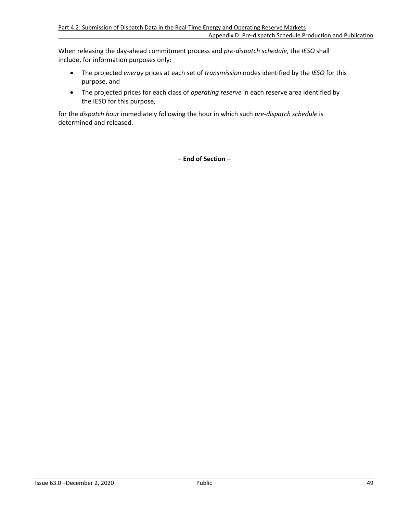When releasing the day-ahead commitment process and *pre-dispatch schedule*, the *IESO* shall include, for information purposes only:

- The projected *energy* prices at each set of *transmission* nodes identified by the *IESO* for this purpose, and
- The projected prices for each class of *operating reserve* in each reserve area identified by the IESO for this purpose*,*

for the *dispatch hour* immediately following the hour in which such *pre-dispatch schedule* is determined and released.

**– End of Section –**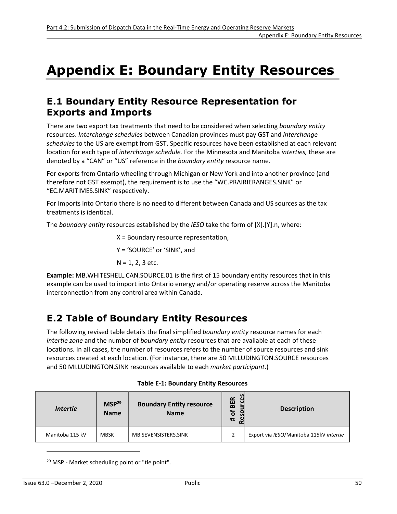# <span id="page-56-0"></span>**Appendix E: Boundary Entity Resources**

### **E.1 Boundary Entity Resource Representation for Exports and Imports**

There are two export tax treatments that need to be considered when selecting *boundary entity* resources. *Interchange schedules* between Canadian provinces must pay GST and *interchange schedules* to the US are exempt from GST. Specific resources have been established at each relevant location for each type of *interchange schedule.* For the Minnesota and Manitoba *interties,* these are denoted by a "CAN" or "US" reference in the *boundary entity* resource name.

For exports from Ontario wheeling through Michigan or New York and into another province (and therefore not GST exempt), the requirement is to use the "WC.PRAIRIERANGES.SINK" or "EC.MARITIMES.SINK" respectively.

For Imports into Ontario there is no need to different between Canada and US sources as the tax treatments is identical.

The *boundary entity* resources established by the *IESO* take the form of [X].[Y].n, where:

X = Boundary resource representation,

Y = 'SOURCE' or 'SINK', and

N = 1, 2, 3 etc.

**Example:** MB.WHITESHELL.CAN.SOURCE.01 is the first of 15 boundary entity resources that in this example can be used to import into Ontario energy and/or operating reserve across the Manitoba interconnection from any control area within Canada.

# **E.2 Table of Boundary Entity Resources**

The following revised table details the final simplified *boundary entity* resource names for each *intertie zone* and the number of *boundary entity* resources that are available at each of these locations. In all cases, the number of resources refers to the number of source resources and sink resources created at each location. (For instance, there are 50 MI.LUDINGTON.SOURCE resources and 50 MI.LUDINGTON.SINK resources available to each *market participant*.)

<span id="page-56-1"></span>

| <i>Intertie</i> | MSP <sup>29</sup><br><b>Name</b> | <b>Boundary Entity resource</b><br><b>Name</b> | S<br><b>ce</b><br><b>BER</b><br>Ⴆ<br><b>So</b><br>#<br>ρ | <b>Description</b>                      |
|-----------------|----------------------------------|------------------------------------------------|----------------------------------------------------------|-----------------------------------------|
| Manitoba 115 kV | <b>MBSK</b>                      | MB.SEVENSISTERS.SINK                           | 2                                                        | Export via IESO/Manitoba 115kV intertie |

<span id="page-56-3"></span>

<span id="page-56-2"></span><sup>[29](#page-56-3)</sup> MSP - Market scheduling point or "tie point".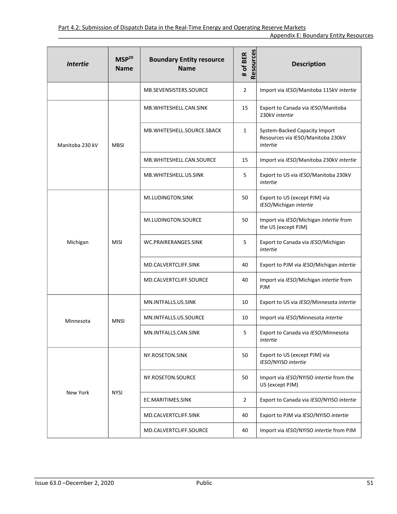| <b>Intertie</b> | MSP <sup>29</sup><br><b>Name</b> | <b>Boundary Entity resource</b><br><b>Name</b> | Resources<br># of BER | <b>Description</b>                                                             |
|-----------------|----------------------------------|------------------------------------------------|-----------------------|--------------------------------------------------------------------------------|
|                 |                                  | MB.SEVENSISTERS.SOURCE                         | $\overline{2}$        | Import via IESO/Manitoba 115kV intertie                                        |
|                 |                                  | MB. WHITESHELL.CAN. SINK                       | 15                    | Export to Canada via IESO/Manitoba<br>230kV intertie                           |
| Manitoba 230 kV | <b>MBSI</b>                      | MB. WHITESHELL. SOURCE. SBACK                  | 1                     | System-Backed Capacity Import<br>Resources via IESO/Manitoba 230kV<br>intertie |
|                 |                                  | MB. WHITESHELL.CAN. SOURCE                     | 15                    | Import via IESO/Manitoba 230kV intertie                                        |
|                 |                                  | MB. WHITE SHELL. US. SINK                      | 5                     | Export to US via IESO/Manitoba 230kV<br>intertie                               |
|                 |                                  | MI.LUDINGTON.SINK                              | 50                    | Export to US (except PJM) via<br>IESO/Michigan intertie                        |
|                 | <b>MISI</b>                      | MI.LUDINGTON.SOURCE                            | 50                    | Import via IESO/Michigan intertie from<br>the US (except PJM)                  |
| Michigan        |                                  | WC.PRAIRERANGES.SINK                           | 5                     | Export to Canada via IESO/Michigan<br>intertie                                 |
|                 |                                  | MD.CALVERTCLIFF.SINK                           | 40                    | Export to PJM via IESO/Michigan intertie                                       |
|                 |                                  | MD.CALVERTCLIFF.SOURCE                         | 40                    | Import via IESO/Michigan intertie from<br>PJM                                  |
|                 | <b>MNSI</b>                      | MN.INTFALLS.US.SINK                            | 10                    | Export to US via IESO/Minnesota intertie                                       |
| Minnesota       |                                  | MN.INTFALLS.US.SOURCE                          | 10                    | Import via IESO/Minnesota intertie                                             |
|                 |                                  | MN.INTFALLS.CAN.SINK                           | 5                     | Export to Canada via IESO/Minnesota<br>intertie                                |
|                 |                                  | NY.ROSETON.SINK                                | 50                    | Export to US (except PJM) via<br>IESO/NYISO intertie                           |
|                 | <b>NYSI</b>                      | NY.ROSETON.SOURCE                              | 50                    | Import via IESO/NYISO intertie from the<br>US (except PJM)                     |
| New York        |                                  | EC.MARITIMES.SINK                              | $\overline{2}$        | Export to Canada via IESO/NYISO intertie                                       |
|                 |                                  | MD.CALVERTCLIFF.SINK                           | 40                    | Export to PJM via IESO/NYISO intertie                                          |
|                 |                                  | MD.CALVERTCLIFF.SOURCE                         | 40                    | Import via IESO/NYISO intertie from PJM                                        |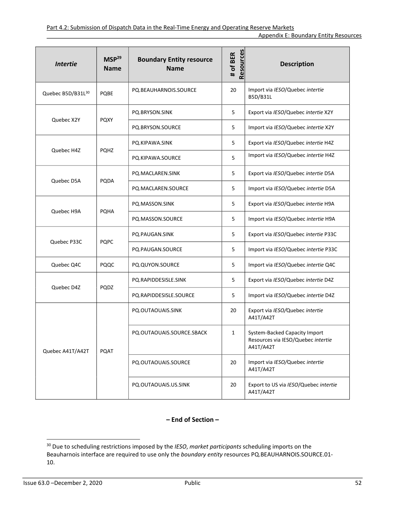<span id="page-58-1"></span>

| <b>Intertie</b>   | MSP <sup>29</sup><br><b>Name</b> | <b>Boundary Entity resource</b><br><b>Name</b> | Resources<br># of BER | <b>Description</b>                                                               |
|-------------------|----------------------------------|------------------------------------------------|-----------------------|----------------------------------------------------------------------------------|
| Quebec B5D/B31L30 | PQBE                             | PQ.BEAUHARNOIS.SOURCE                          | 20                    | Import via IESO/Quebec intertie<br>B5D/B31L                                      |
| Quebec X2Y        | <b>PQXY</b>                      | PQ.BRYSON.SINK                                 | 5                     | Export via IESO/Quebec intertie X2Y                                              |
|                   |                                  | PQ.BRYSON.SOURCE                               | 5                     | Import via IESO/Quebec intertie X2Y                                              |
| Quebec H4Z        | <b>PQHZ</b>                      | PQ.KIPAWA.SINK                                 | 5                     | Export via IESO/Quebec intertie H4Z                                              |
|                   |                                  | PQ.KIPAWA.SOURCE                               | 5                     | Import via IESO/Quebec intertie H4Z                                              |
| Quebec D5A        | PQDA                             | PQ.MACLAREN.SINK                               | 5                     | Export via IESO/Quebec intertie D5A                                              |
|                   |                                  | PQ.MACLAREN.SOURCE                             | 5                     | Import via IESO/Quebec intertie D5A                                              |
| Quebec H9A        | <b>PQHA</b>                      | PQ.MASSON.SINK                                 | 5                     | Export via IESO/Quebec intertie H9A                                              |
|                   |                                  | PQ.MASSON.SOURCE                               | 5                     | Import via IESO/Quebec intertie H9A                                              |
| Quebec P33C       | <b>PQPC</b>                      | PQ.PAUGAN.SINK                                 | 5                     | Export via IESO/Quebec intertie P33C                                             |
|                   |                                  | PQ.PAUGAN.SOURCE                               | 5                     | Import via IESO/Quebec intertie P33C                                             |
| Quebec Q4C        | PQQC                             | PQ.QUYON.SOURCE                                | 5                     | Import via IESO/Quebec intertie Q4C                                              |
| Quebec D4Z        | PQDZ                             | PQ.RAPIDDESISLE.SINK                           | 5                     | Export via IESO/Quebec intertie D4Z                                              |
|                   |                                  | PQ.RAPIDDESISLE.SOURCE                         | 5                     | Import via IESO/Quebec intertie D4Z                                              |
|                   |                                  | PQ.OUTAOUAIS.SINK                              | 20                    | Export via IESO/Quebec intertie<br>A41T/A42T                                     |
| Quebec A41T/A42T  | PQAT                             | PQ.OUTAOUAIS.SOURCE.SBACK                      | 1                     | System-Backed Capacity Import<br>Resources via IESO/Quebec intertie<br>A41T/A42T |
|                   |                                  | PQ.OUTAOUAIS.SOURCE                            | 20                    | Import via IESO/Quebec intertie<br>A41T/A42T                                     |
|                   |                                  | PQ.OUTAOUAIS.US.SINK                           | 20                    | Export to US via IESO/Quebec intertie<br>A41T/A42T                               |

#### **– End of Section –**

<span id="page-58-0"></span>[<sup>30</sup>](#page-58-1) Due to scheduling restrictions imposed by the *IESO*, *market participants* scheduling imports on the Beauharnois interface are required to use only the *boundary entity* resources PQ.BEAUHARNOIS.SOURCE.01- 10.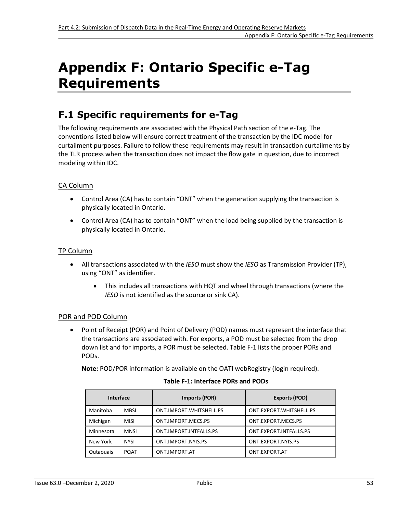# <span id="page-59-0"></span>**Appendix F: Ontario Specific e-Tag Requirements**

### **F.1 Specific requirements for e-Tag**

The following requirements are associated with the Physical Path section of the e-Tag. The conventions listed below will ensure correct treatment of the transaction by the IDC model for curtailment purposes. Failure to follow these requirements may result in transaction curtailments by the TLR process when the transaction does not impact the flow gate in question, due to incorrect modeling within IDC.

#### CA Column

- Control Area (CA) has to contain "ONT" when the generation supplying the transaction is physically located in Ontario.
- Control Area (CA) has to contain "ONT" when the load being supplied by the transaction is physically located in Ontario.

#### TP Column

- All transactions associated with the *IESO* must show the *IESO* as Transmission Provider (TP), using "ONT" as identifier.
	- This includes all transactions with HQT and wheel through transactions (where the *IESO* is not identified as the source or sink CA).

#### POR and POD Column

• Point of Receipt (POR) and Point of Delivery (POD) names must represent the interface that the transactions are associated with. For exports, a POD must be selected from the drop down list and for imports, a POR must be selected. Table F-1 lists the proper PORs and PODs.

<span id="page-59-1"></span>**Note:** POD/POR information is available on the OATI webRegistry (login required).

| <b>Interface</b> |             | Imports (POR)           | <b>Exports (POD)</b>    |
|------------------|-------------|-------------------------|-------------------------|
| Manitoba         | <b>MBSI</b> | ONT.IMPORT.WHITSHELL.PS | ONT.EXPORT.WHITSHELL.PS |
| Michigan         | <b>MISI</b> | ONT.IMPORT.MECS.PS      | ONT.EXPORT.MECS.PS      |
| Minnesota        | <b>MNSI</b> | ONT.IMPORT.INTFALLS.PS  | ONT.EXPORT.INTFALLS.PS  |
| New York         | <b>NYSI</b> | ONT.IMPORT.NYIS.PS      | ONT.EXPORT.NYIS.PS      |
| Outaouais        | POAT        | ONT.IMPORT.AT           | ONT.EXPORT.AT           |

#### **Table F-1: Interface PORs and PODs**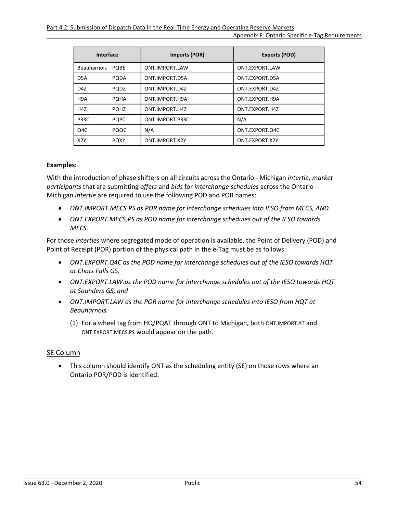| Interface        |             | Imports (POR)   | Exports (POD)  |
|------------------|-------------|-----------------|----------------|
| Beauharnois PQBE |             | ONT.IMPORT.LAW  | ONT.EXPORT.LAW |
| D5A              | <b>PODA</b> | ONT.IMPORT.D5A  | ONT.EXPORT.D5A |
| D <sub>4</sub> Z | <b>PODZ</b> | ONT.IMPORT.D4Z  | ONT.EXPORT.D4Z |
| H <sub>9</sub> A | <b>POHA</b> | ONT.IMPORT.H9A  | ONT.EXPORT.H9A |
| H <sub>4</sub> Z | <b>POHZ</b> | ONT.IMPORT.H4Z  | ONT.EXPORT.H4Z |
| <b>P33C</b>      | <b>POPC</b> | ONT.IMPORT.P33C | N/A            |
| Q4C              | PQQC        | N/A             | ONT.EXPORT.Q4C |
| X <sub>2</sub> Y | <b>POXY</b> | ONT.IMPORT.X2Y  | ONT.EXPORT.X2Y |

#### **Examples:**

With the introduction of phase shifters on all circuits across the Ontario - Michigan *intertie*, *market participants* that are submitting *offers* and *bids* for *interchange schedules* across the Ontario - Michigan *intertie* are required to use the following POD and POR names:

- *ONT.IMPORT.MECS.PS as POR name for interchange schedules into IESO from MECS, AND*
- *ONT.EXPORT.MECS.PS as POD name for interchange schedules out of the IESO towards MECS.*

For those *interties* where segregated mode of operation is available, the Point of Delivery (POD) and Point of Receipt (POR) portion of the physical path in the e-Tag must be as follows:

- *ONT.EXPORT.Q4C as the POD name for interchange schedules out of the IESO towards HQT at Chats Falls GS,*
- *ONT.EXPORT.LAW.as the POD name for interchange schedules out of the IESO towards HQT at Saunders GS, and*
- *ONT.IMPORT.LAW as the POR name for interchange schedules into IESO from HQT at Beauharnois.*
	- (1) For a wheel tag from HQ/PQAT through ONT to Michigan, both ONT.IMPORT.AT and ONT.EXPORT.MECS.PS would appear on the path.

#### SE Column

• This column should identify ONT as the scheduling entity (SE) on those rows where an Ontario POR/POD is identified.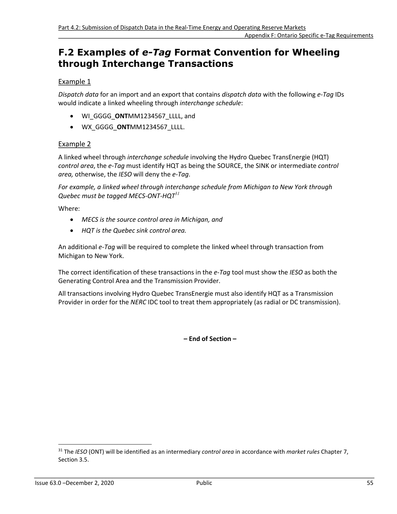### **F.2 Examples of** *e-Tag* **Format Convention for Wheeling through Interchange Transactions**

#### Example 1

*Dispatch data* for an import and an export that contains *dispatch data* with the following *e-Tag* IDs would indicate a linked wheeling through *interchange schedule*:

- WI\_GGGG\_**ONT**MM1234567\_LLLL, and
- WX\_GGGG\_**ONT**MM1234567\_LLLL.

#### Example 2

A linked wheel through *interchange schedule* involving the Hydro Quebec TransEnergie (HQT) *control area*, the *e-Tag* must identify HQT as being the SOURCE, the SINK or intermediate *control area,* otherwise, the *IESO* will deny the *e-Tag*.

*For example, a linked wheel through interchange schedule from Michigan to New York through Quebec must be tagged MECS-ONT-HQT[31](#page-61-0)*

Where:

- <span id="page-61-1"></span>• *MECS is the source control area in Michigan, and*
- *HQT is the Quebec sink control area.*

An additional *e-Tag* will be required to complete the linked wheel through transaction from Michigan to New York.

The correct identification of these transactions in the *e-Tag* tool must show the *IESO* as both the Generating Control Area and the Transmission Provider.

All transactions involving Hydro Quebec TransEnergie must also identify HQT as a Transmission Provider in order for the *NERC* IDC tool to treat them appropriately (as radial or DC transmission).

**– End of Section –**

<span id="page-61-0"></span>[<sup>31</sup>](#page-61-1) The *IESO* (ONT) will be identified as an intermediary *control area* in accordance with *market rules* Chapter 7, Section 3.5.